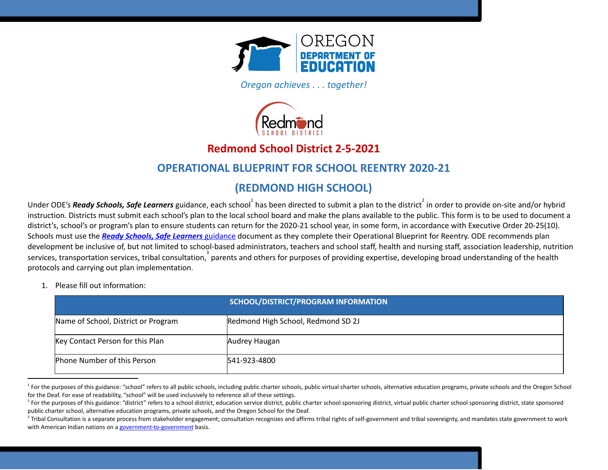

*Oregon achieves . . . together!* 



## **Redmond School District 2-5-2021**

### **OPERATIONAL BLUEPRINT FOR SCHOOL REENTRY 2020-21**

## **(REDMOND HIGH SCHOOL)**

Under ODE's **Ready Schools, Safe Learners** guidance, each school $^1$  has been directed to submit a plan to the district  $^2$  in order to provide on-site and/or hybrid instruction. Districts must submit each school's plan to the local school board and make the plans available to the public. This form is to be used to document a district's, school's or program's plan to ensure students can return for the 2020-21 school year, in some form, in accordance with Executive Order 20-25(10). Schools must use the *Ready Schools, Safe [Learners](https://www.oregon.gov/ode/students-and-family/healthsafety/Documents/Ready%20Schools%20Safe%20Learners%202020-21%20Guidance.pdf)* [guidance](https://www.oregon.gov/ode/students-and-family/healthsafety/Documents/Ready%20Schools%20Safe%20Learners%202020-21%20Guidance.pdf) document as they complete their Operational Blueprint for Reentry. ODE recommends plan development be inclusive of, but not limited to school-based administrators, teachers and school staff, health and nursing staff, association leadership, nutrition services, transportation services, tribal consultation,  $3$  parents and others for purposes of providing expertise, developing broad understanding of the health protocols and carrying out plan implementation.

1. Please fill out information:

|                                     | SCHOOL/DISTRICT/PROGRAM INFORMATION |
|-------------------------------------|-------------------------------------|
| Name of School, District or Program | Redmond High School, Redmond SD 2J  |
| Key Contact Person for this Plan    | Audrey Haugan                       |
| Phone Number of this Person         | 541-923-4800                        |

<sup>&</sup>lt;sup>1</sup> For the purposes of this guidance: "school" refers to all public schools, including public charter schools, public virtual charter schools, alternative education programs, private schools and the Oregon School for the Deaf. For ease of readability, "school" will be used inclusively to reference all of these settings.

<sup>&</sup>lt;sup>2</sup> For the purposes of this guidance: "district" refers to a school district, education service district, public charter school sponsoring district as the sponsoring district, state sponsored public charter school, alternative education programs, private schools, and the Oregon School for the Deaf.

<sup>&</sup>lt;sup>3</sup> Tribal Consultation is a separate process from stakeholder engagement; consultation recognizes and affirms tribal rights of self-government and tribal sovereignty, and mandates state government to work with American Indian nations on a [government-to-government](http://www.nrc4tribes.org/files/Tab%209_9H%20Oregon%20SB770.pdf) basis.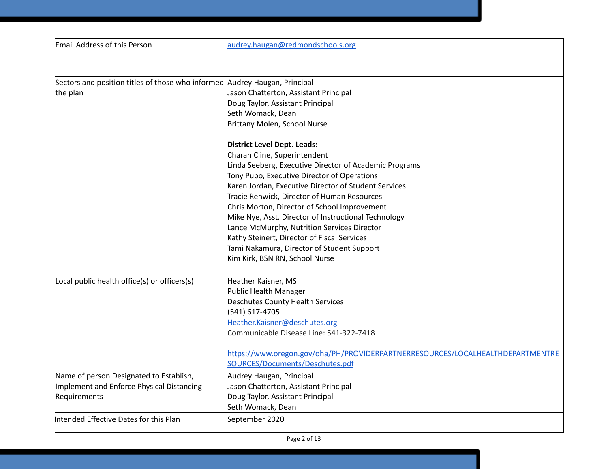| Email Address of this Person                                               | audrey.haugan@redmondschools.org                                               |
|----------------------------------------------------------------------------|--------------------------------------------------------------------------------|
|                                                                            |                                                                                |
| Sectors and position titles of those who informed Audrey Haugan, Principal |                                                                                |
| the plan                                                                   | Jason Chatterton, Assistant Principal                                          |
|                                                                            | Doug Taylor, Assistant Principal                                               |
|                                                                            | Seth Womack, Dean                                                              |
|                                                                            | Brittany Molen, School Nurse                                                   |
|                                                                            | <b>District Level Dept. Leads:</b>                                             |
|                                                                            | Charan Cline, Superintendent                                                   |
|                                                                            | Linda Seeberg, Executive Director of Academic Programs                         |
|                                                                            | Tony Pupo, Executive Director of Operations                                    |
|                                                                            | Karen Jordan, Executive Director of Student Services                           |
|                                                                            | Tracie Renwick, Director of Human Resources                                    |
|                                                                            | Chris Morton, Director of School Improvement                                   |
|                                                                            | Mike Nye, Asst. Director of Instructional Technology                           |
|                                                                            | Lance McMurphy, Nutrition Services Director                                    |
|                                                                            | Kathy Steinert, Director of Fiscal Services                                    |
|                                                                            | Tami Nakamura, Director of Student Support                                     |
|                                                                            | Kim Kirk, BSN RN, School Nurse                                                 |
| Local public health office(s) or officers(s)                               | Heather Kaisner, MS                                                            |
|                                                                            | Public Health Manager                                                          |
|                                                                            | Deschutes County Health Services                                               |
|                                                                            | (541) 617-4705                                                                 |
|                                                                            | Heather.Kaisner@deschutes.org                                                  |
|                                                                            | Communicable Disease Line: 541-322-7418                                        |
|                                                                            | https://www.oregon.gov/oha/PH/PROVIDERPARTNERRESOURCES/LOCALHEALTHDEPARTMENTRE |
|                                                                            | SOURCES/Documents/Deschutes.pdf                                                |
| Name of person Designated to Establish,                                    | Audrey Haugan, Principal                                                       |
| Implement and Enforce Physical Distancing                                  | Jason Chatterton, Assistant Principal                                          |
| Requirements                                                               | Doug Taylor, Assistant Principal                                               |
|                                                                            | Seth Womack, Dean                                                              |
| Intended Effective Dates for this Plan                                     | September 2020                                                                 |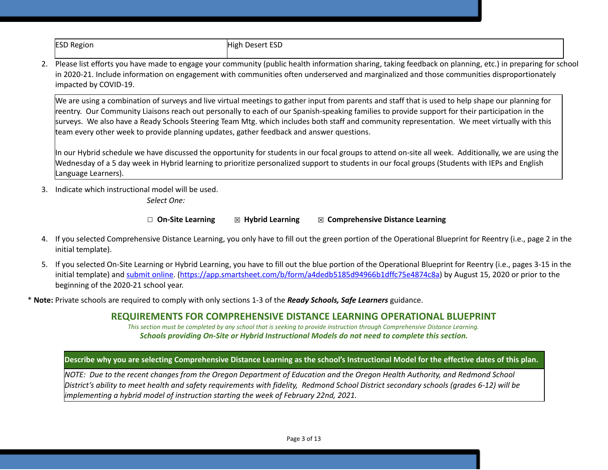### ESD Region **High Desert ESD**

2. Please list efforts you have made to engage your community (public health information sharing, taking feedback on planning, etc.) in preparing for school in 2020-21. Include information on engagement with communities often underserved and marginalized and those communities disproportionately impacted by COVID-19.

We are using a combination of surveys and live virtual meetings to gather input from parents and staff that is used to help shape our planning for reentry. Our Community Liaisons reach out personally to each of our Spanish-speaking families to provide support for their participation in the surveys. We also have a Ready Schools Steering Team Mtg. which includes both staff and community representation. We meet virtually with this team every other week to provide planning updates, gather feedback and answer questions.

In our Hybrid schedule we have discussed the opportunity for students in our focal groups to attend on-site all week. Additionally, we are using the Wednesday of a 5 day week in Hybrid learning to prioritize personalized support to students in our focal groups (Students with IEPs and English Language Learners).

3. Indicate which instructional model will be used.

*Select One:*

☐ **On-Site Learning** ☒ **Hybrid Learning** ☒ **Comprehensive Distance Learning**

- 4. If you selected Comprehensive Distance Learning, you only have to fill out the green portion of the Operational Blueprint for Reentry (i.e., page 2 in the initial template).
- 5. If you selected On-Site Learning or Hybrid Learning, you have to fill out the blue portion of the Operational Blueprint for Reentry (i.e., pages 3-15 in the initial template) and [submit](https://app.smartsheet.com/b/form/a4dedb5185d94966b1dffc75e4874c8a) online. ([https://app.smartsheet.com/b/form/a4dedb5185d94966b1dffc75e4874c8a\)](https://app.smartsheet.com/b/form/a4dedb5185d94966b1dffc75e4874c8a) by August 15, 2020 or prior to the beginning of the 2020-21 school year.

\* **Note:** Private schools are required to comply with only sections 1-3 of the *Ready Schools, Safe Learners* guidance.

### **REQUIREMENTS FOR COMPREHENSIVE DISTANCE LEARNING OPERATIONAL BLUEPRINT**

*This section must be completed by any school that is seeking to provide instruction through Comprehensive Distance Learning. Schools providing On-Site or Hybrid Instructional Models do not need to complete this section.*

### Describe why you are selecting Comprehensive Distance Learning as the school's Instructional Model for the effective dates of this plan.

NOTE: Due to the recent changes from the Oregon Department of Education and the Oregon Health Authority, and Redmond School District's ability to meet health and safety requirements with fidelity, Redmond School District secondary schools (grades 6-12) will be *implementing a hybrid model of instruction starting the week of February 22nd, 2021.*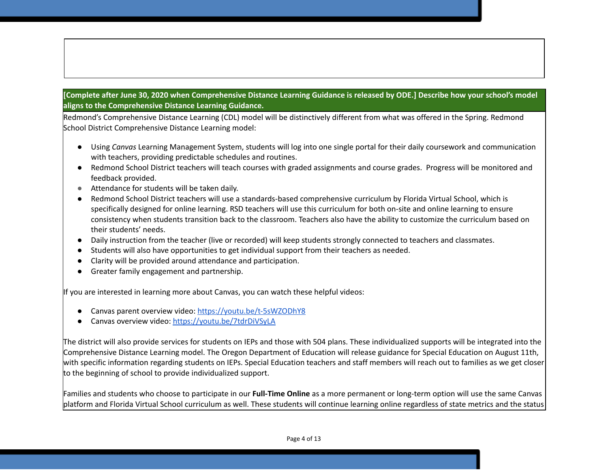### [Complete after June 30, 2020 when Comprehensive Distance Learning Guidance is released by ODE.] Describe how your school's model **aligns to the Comprehensive Distance Learning Guidance.**

Redmond's Comprehensive Distance Learning (CDL) model will be distinctively different from what was offered in the Spring. Redmond School District Comprehensive Distance Learning model:

- Using *Canvas* Learning Management System, students will log into one single portal for their daily coursework and communication with teachers, providing predictable schedules and routines.
- Redmond School District teachers will teach courses with graded assignments and course grades. Progress will be monitored and feedback provided.
- Attendance for students will be taken daily.
- Redmond School District teachers will use a standards-based comprehensive curriculum by Florida Virtual School, which is specifically designed for online learning. RSD teachers will use this curriculum for both on-site and online learning to ensure consistency when students transition back to the classroom. Teachers also have the ability to customize the curriculum based on their students' needs.
- Daily instruction from the teacher (live or recorded) will keep students strongly connected to teachers and classmates.
- Students will also have opportunities to get individual support from their teachers as needed.
- Clarity will be provided around attendance and participation.
- Greater family engagement and partnership.

If you are interested in learning more about Canvas, you can watch these helpful videos:

- Canvas parent overview video: <https://youtu.be/t-5sWZODhY8>
- Canvas overview video: <https://youtu.be/7tdrDiVSyLA>

The district will also provide services for students on IEPs and those with 504 plans. These individualized supports will be integrated into the Comprehensive Distance Learning model. The Oregon Department of Education will release guidance for Special Education on August 11th, with specific information regarding students on IEPs. Special Education teachers and staff members will reach out to families as we get closer to the beginning of school to provide individualized support.

Families and students who choose to participate in our **Full-Time Online** as a more permanent or long-term option will use the same Canvas platform and Florida Virtual School curriculum as well. These students will continue learning online regardless of state metrics and the status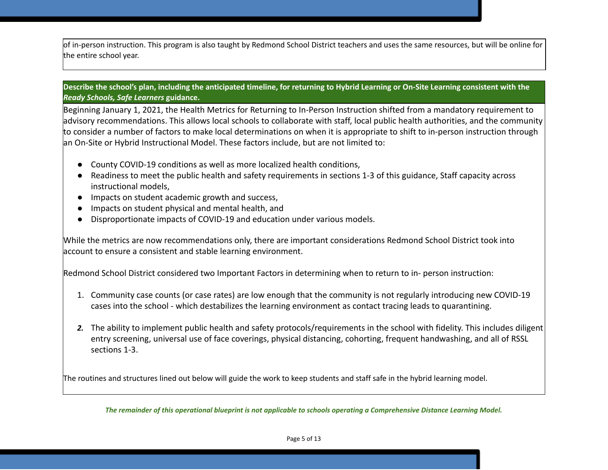of in-person instruction. This program is also taught by Redmond School District teachers and uses the same resources, but will be online for the entire school year.

### Describe the school's plan, including the anticipated timeline, for returning to Hybrid Learning or On-Site Learning consistent with the *Ready Schools, Safe Learners* **guidance.**

Beginning January 1, 2021, the Health Metrics for Returning to In-Person Instruction shifted from a mandatory requirement to advisory recommendations. This allows local schools to collaborate with staff, local public health authorities, and the community to consider a number of factors to make local determinations on when it is appropriate to shift to in-person instruction through an On-Site or Hybrid Instructional Model. These factors include, but are not limited to:

- County COVID-19 conditions as well as more localized health conditions,
- Readiness to meet the public health and safety requirements in sections 1-3 of this guidance, Staff capacity across instructional models,
- Impacts on student academic growth and success,
- Impacts on student physical and mental health, and
- Disproportionate impacts of COVID-19 and education under various models.

While the metrics are now recommendations only, there are important considerations Redmond School District took into account to ensure a consistent and stable learning environment.

Redmond School District considered two Important Factors in determining when to return to in- person instruction:

- 1. Community case counts (or case rates) are low enough that the community is not regularly introducing new COVID-19 cases into the school - which destabilizes the learning environment as contact tracing leads to quarantining.
- *2.* The ability to implement public health and safety protocols/requirements in the school with fidelity. This includes diligent entry screening, universal use of face coverings, physical distancing, cohorting, frequent handwashing, and all of RSSL sections 1-3.

The routines and structures lined out below will guide the work to keep students and staff safe in the hybrid learning model.

The remainder of this operational blueprint is not applicable to schools operating a Comprehensive Distance Learning Model.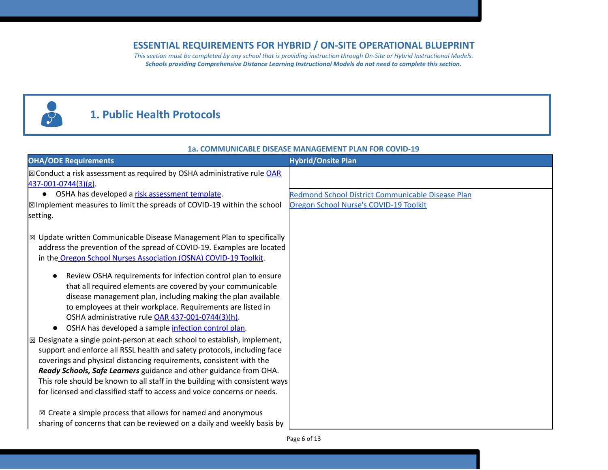### **ESSENTIAL REQUIREMENTS FOR HYBRID / ON-SITE OPERATIONAL BLUEPRINT**

*This section must be completed by any school that is providing instruction through On-Site or Hybrid Instructional Models. Schools providing Comprehensive Distance Learning Instructional Models do not need to complete this section.* 

# 8

## **1. Public Health Protocols**

### **1a. COMMUNICABLE DISEASE MANAGEMENT PLAN FOR COVID-19**

| <b>OHA/ODE Requirements</b>                                                                                                                                                                                                                                                                                                                                                                                                                                                                                                                                                                                                                                                                                                                                                                                                                                                                                                                                                                                                                                                                                                                                                                                                              | <b>Hybrid/Onsite Plan</b>                         |
|------------------------------------------------------------------------------------------------------------------------------------------------------------------------------------------------------------------------------------------------------------------------------------------------------------------------------------------------------------------------------------------------------------------------------------------------------------------------------------------------------------------------------------------------------------------------------------------------------------------------------------------------------------------------------------------------------------------------------------------------------------------------------------------------------------------------------------------------------------------------------------------------------------------------------------------------------------------------------------------------------------------------------------------------------------------------------------------------------------------------------------------------------------------------------------------------------------------------------------------|---------------------------------------------------|
| $\boxtimes$ Conduct a risk assessment as required by OSHA administrative rule OAR<br>$437 - 001 - 0744(3)(g)$ .                                                                                                                                                                                                                                                                                                                                                                                                                                                                                                                                                                                                                                                                                                                                                                                                                                                                                                                                                                                                                                                                                                                          |                                                   |
| OSHA has developed a risk assessment template.<br>$\bullet$                                                                                                                                                                                                                                                                                                                                                                                                                                                                                                                                                                                                                                                                                                                                                                                                                                                                                                                                                                                                                                                                                                                                                                              | Redmond School District Communicable Disease Plan |
| $\boxtimes$ Implement measures to limit the spreads of COVID-19 within the school                                                                                                                                                                                                                                                                                                                                                                                                                                                                                                                                                                                                                                                                                                                                                                                                                                                                                                                                                                                                                                                                                                                                                        | Oregon School Nurse's COVID-19 Toolkit            |
| setting.                                                                                                                                                                                                                                                                                                                                                                                                                                                                                                                                                                                                                                                                                                                                                                                                                                                                                                                                                                                                                                                                                                                                                                                                                                 |                                                   |
| $\boxtimes$ Update written Communicable Disease Management Plan to specifically<br>address the prevention of the spread of COVID-19. Examples are located<br>in the Oregon School Nurses Association (OSNA) COVID-19 Toolkit.<br>Review OSHA requirements for infection control plan to ensure<br>that all required elements are covered by your communicable<br>disease management plan, including making the plan available<br>to employees at their workplace. Requirements are listed in<br>OSHA administrative rule OAR 437-001-0744(3)(h).<br>OSHA has developed a sample infection control plan.<br>$\boxtimes$ Designate a single point-person at each school to establish, implement,<br>support and enforce all RSSL health and safety protocols, including face<br>coverings and physical distancing requirements, consistent with the<br>Ready Schools, Safe Learners guidance and other guidance from OHA.<br>This role should be known to all staff in the building with consistent ways<br>for licensed and classified staff to access and voice concerns or needs.<br>$\boxtimes$ Create a simple process that allows for named and anonymous<br>sharing of concerns that can be reviewed on a daily and weekly basis by |                                                   |
|                                                                                                                                                                                                                                                                                                                                                                                                                                                                                                                                                                                                                                                                                                                                                                                                                                                                                                                                                                                                                                                                                                                                                                                                                                          | Page 6 of 13                                      |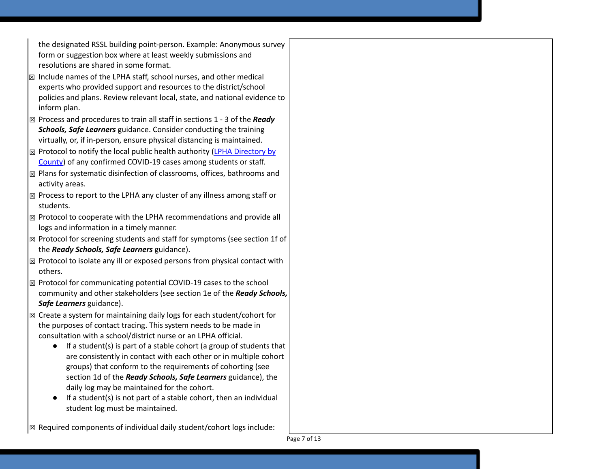the designated RSSL building point-person. Example: Anonymous survey form or suggestion box where at least weekly submissions and resolutions are shared in some format.

- $\boxtimes$  Include names of the LPHA staff, school nurses, and other medical experts who provided support and resources to the district/school policies and plans. Review relevant local, state, and national evidence to inform plan.
- ☒ Process and procedures to train all staff in sections 1 3 of the *Ready Schools, Safe Learners* guidance. Consider conducting the training virtually, or, if in-person, ensure physical distancing is maintained.
- $\boxtimes$  Protocol to notify the local public health authority (LPHA [Directory](https://www.oregon.gov/oha/ph/providerpartnerresources/localhealthdepartmentresources/pages/lhd.aspx) by [County](https://www.oregon.gov/oha/ph/providerpartnerresources/localhealthdepartmentresources/pages/lhd.aspx)) of any confirmed COVID-19 cases among students or staff.
- $\boxtimes$  Plans for systematic disinfection of classrooms, offices, bathrooms and activity areas.
- $\boxtimes$  Process to report to the LPHA any cluster of any illness among staff or students.
- ☒ Protocol to cooperate with the LPHA recommendations and provide all logs and information in a timely manner.
- ☒ Protocol for screening students and staff for symptoms (see section 1f of the *Ready Schools, Safe Learners* guidance).
- $\boxtimes$  Protocol to isolate any ill or exposed persons from physical contact with others.
- ☒ Protocol for communicating potential COVID-19 cases to the school community and other stakeholders (see section 1e of the *Ready Schools, Safe Learners* guidance).
- $\boxtimes$  Create a system for maintaining daily logs for each student/cohort for the purposes of contact tracing. This system needs to be made in consultation with a school/district nurse or an LPHA official.
	- If a student(s) is part of a stable cohort (a group of students that are consistently in contact with each other or in multiple cohort groups) that conform to the requirements of cohorting (see section 1d of the *Ready Schools, Safe Learners* guidance), the daily log may be maintained for the cohort.
	- $\bullet$  If a student(s) is not part of a stable cohort, then an individual student log must be maintained.

 $\sqrt{\mathbb{Z}}$  Required components of individual daily student/cohort logs include:

Page 7 of 13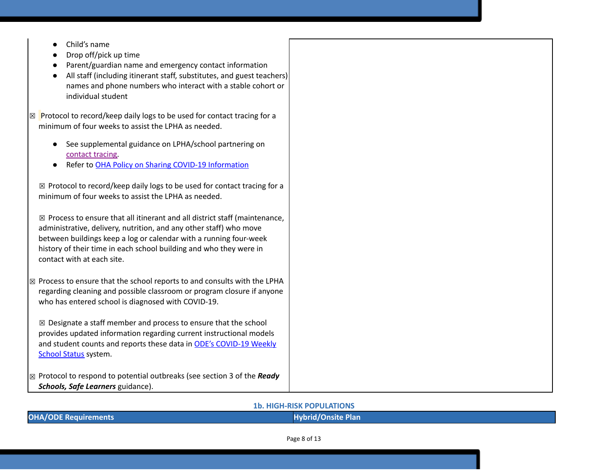- Child's name
- Drop off/pick up time
- Parent/guardian name and emergency contact information
- All staff (including itinerant staff, substitutes, and guest teachers) names and phone numbers who interact with a stable cohort or individual student
- $\boxtimes$  Protocol to record/keep daily logs to be used for contact tracing for a minimum of four weeks to assist the LPHA as needed.
	- See suppleme[n](https://www.oregon.gov/ode/students-and-family/healthsafety/Documents/LPHA%20Capacity%20Needs%20and%20Contact%20Tracing.pdf)tal guidance on LPHA/school partnering on [contact](https://www.oregon.gov/ode/students-and-family/healthsafety/Documents/LPHA%20Capacity%20Needs%20and%20Contact%20Tracing.pdf) tracing.
	- Refer to OHA Policy on Sharing COVID-19 [Information](https://www.oregon.gov/ode/students-and-family/healthsafety/Documents/Sharing%20COVID%20Information%20with%20Schools.pdf)

 $\boxtimes$  Protocol to record/keep daily logs to be used for contact tracing for a minimum of four weeks to assist the LPHA as needed.

 $\boxtimes$  Process to ensure that all itinerant and all district staff (maintenance, administrative, delivery, nutrition, and any other staff) who move between buildings keep a log or calendar with a running four-week history of their time in each school building and who they were in contact with at each site.

 $\boxtimes$  Process to ensure that the school reports to and consults with the LPHA regarding cleaning and possible classroom or program closure if anyone who has entered school is diagnosed with COVID-19.

 $\boxtimes$  Designate a staff member and process to ensure that the school provides updated information regarding current instructional models and student counts and reports these data i[n](https://www.oregon.gov/ode/students-and-family/healthsafety/Pages/2020-21-School-Status.aspx) ODE's [COVID-19](https://www.oregon.gov/ode/students-and-family/healthsafety/Pages/2020-21-School-Status.aspx) Weekly [School](https://www.oregon.gov/ode/students-and-family/healthsafety/Pages/2020-21-School-Status.aspx) Status system.

☒ Protocol to respond to potential outbreaks (see section 3 of the *Ready Schools, Safe Learners* guidance).

**1b. HIGH-RISK POPULATIONS**

|  | <b>OHA/ODE Requirements</b> |
|--|-----------------------------|
|  |                             |

**Hybrid/Onsite Plan**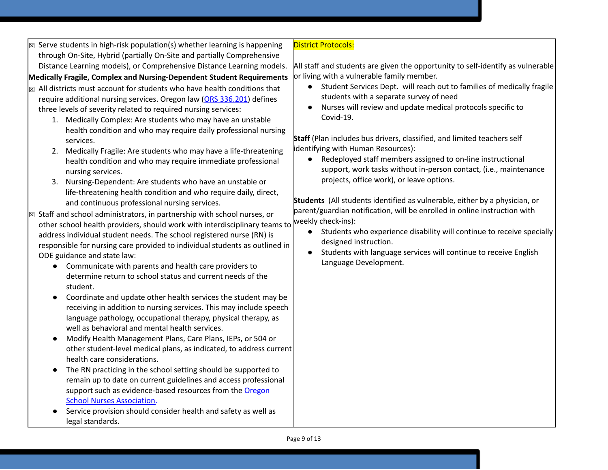| $\boxtimes$ Serve students in high-risk population(s) whether learning is happening                                                                                                                                                                                                                                                                                                                                                                                                                                                                                                                                                                                                                                                                                                                                                                                                                                                                                                                                                                                                                                                                                                                                                                                                                                                                                                                                                                                                                                                                                                                                                                                                                                                                                                                                                                                                                                             | <b>District Protocols:</b>                                                                                                                                                                                                                                                                                                                                                                                                                                                                                                                                                                                                                                                                                                                                                                                                                                                                                                                                                                               |
|---------------------------------------------------------------------------------------------------------------------------------------------------------------------------------------------------------------------------------------------------------------------------------------------------------------------------------------------------------------------------------------------------------------------------------------------------------------------------------------------------------------------------------------------------------------------------------------------------------------------------------------------------------------------------------------------------------------------------------------------------------------------------------------------------------------------------------------------------------------------------------------------------------------------------------------------------------------------------------------------------------------------------------------------------------------------------------------------------------------------------------------------------------------------------------------------------------------------------------------------------------------------------------------------------------------------------------------------------------------------------------------------------------------------------------------------------------------------------------------------------------------------------------------------------------------------------------------------------------------------------------------------------------------------------------------------------------------------------------------------------------------------------------------------------------------------------------------------------------------------------------------------------------------------------------|----------------------------------------------------------------------------------------------------------------------------------------------------------------------------------------------------------------------------------------------------------------------------------------------------------------------------------------------------------------------------------------------------------------------------------------------------------------------------------------------------------------------------------------------------------------------------------------------------------------------------------------------------------------------------------------------------------------------------------------------------------------------------------------------------------------------------------------------------------------------------------------------------------------------------------------------------------------------------------------------------------|
|                                                                                                                                                                                                                                                                                                                                                                                                                                                                                                                                                                                                                                                                                                                                                                                                                                                                                                                                                                                                                                                                                                                                                                                                                                                                                                                                                                                                                                                                                                                                                                                                                                                                                                                                                                                                                                                                                                                                 |                                                                                                                                                                                                                                                                                                                                                                                                                                                                                                                                                                                                                                                                                                                                                                                                                                                                                                                                                                                                          |
|                                                                                                                                                                                                                                                                                                                                                                                                                                                                                                                                                                                                                                                                                                                                                                                                                                                                                                                                                                                                                                                                                                                                                                                                                                                                                                                                                                                                                                                                                                                                                                                                                                                                                                                                                                                                                                                                                                                                 | or living with a vulnerable family member.                                                                                                                                                                                                                                                                                                                                                                                                                                                                                                                                                                                                                                                                                                                                                                                                                                                                                                                                                               |
| through On-Site, Hybrid (partially On-Site and partially Comprehensive<br>Distance Learning models), or Comprehensive Distance Learning models.<br>Medically Fragile, Complex and Nursing-Dependent Student Requirements<br>$\boxtimes$ All districts must account for students who have health conditions that<br>require additional nursing services. Oregon law (ORS 336.201) defines<br>three levels of severity related to required nursing services:<br>1. Medically Complex: Are students who may have an unstable<br>health condition and who may require daily professional nursing<br>services.<br>2. Medically Fragile: Are students who may have a life-threatening<br>health condition and who may require immediate professional<br>nursing services.<br>Nursing-Dependent: Are students who have an unstable or<br>3.<br>life-threatening health condition and who require daily, direct,<br>and continuous professional nursing services.<br>$\boxtimes$ Staff and school administrators, in partnership with school nurses, or<br>other school health providers, should work with interdisciplinary teams to<br>address individual student needs. The school registered nurse (RN) is<br>responsible for nursing care provided to individual students as outlined in<br>ODE guidance and state law:<br>Communicate with parents and health care providers to<br>$\bullet$<br>determine return to school status and current needs of the<br>student.<br>Coordinate and update other health services the student may be<br>$\bullet$<br>receiving in addition to nursing services. This may include speech<br>language pathology, occupational therapy, physical therapy, as<br>well as behavioral and mental health services.<br>Modify Health Management Plans, Care Plans, IEPs, or 504 or<br>$\bullet$<br>other student-level medical plans, as indicated, to address current<br>health care considerations. | All staff and students are given the opportunity to self-identify as vulnerable<br>Student Services Dept. will reach out to families of medically fragile<br>$\bullet$<br>students with a separate survey of need<br>Nurses will review and update medical protocols specific to<br>Covid-19.<br>Staff (Plan includes bus drivers, classified, and limited teachers self<br>identifying with Human Resources):<br>Redeployed staff members assigned to on-line instructional<br>support, work tasks without in-person contact, (i.e., maintenance<br>projects, office work), or leave options.<br>Students (All students identified as vulnerable, either by a physician, or<br>parent/guardian notification, will be enrolled in online instruction with<br>weekly check-ins):<br>Students who experience disability will continue to receive specially<br>$\bullet$<br>designed instruction.<br>Students with language services will continue to receive English<br>$\bullet$<br>Language Development. |
| The RN practicing in the school setting should be supported to                                                                                                                                                                                                                                                                                                                                                                                                                                                                                                                                                                                                                                                                                                                                                                                                                                                                                                                                                                                                                                                                                                                                                                                                                                                                                                                                                                                                                                                                                                                                                                                                                                                                                                                                                                                                                                                                  |                                                                                                                                                                                                                                                                                                                                                                                                                                                                                                                                                                                                                                                                                                                                                                                                                                                                                                                                                                                                          |
| remain up to date on current guidelines and access professional                                                                                                                                                                                                                                                                                                                                                                                                                                                                                                                                                                                                                                                                                                                                                                                                                                                                                                                                                                                                                                                                                                                                                                                                                                                                                                                                                                                                                                                                                                                                                                                                                                                                                                                                                                                                                                                                 |                                                                                                                                                                                                                                                                                                                                                                                                                                                                                                                                                                                                                                                                                                                                                                                                                                                                                                                                                                                                          |
| support such as evidence-based resources from the Oregon                                                                                                                                                                                                                                                                                                                                                                                                                                                                                                                                                                                                                                                                                                                                                                                                                                                                                                                                                                                                                                                                                                                                                                                                                                                                                                                                                                                                                                                                                                                                                                                                                                                                                                                                                                                                                                                                        |                                                                                                                                                                                                                                                                                                                                                                                                                                                                                                                                                                                                                                                                                                                                                                                                                                                                                                                                                                                                          |
| <b>School Nurses Association.</b>                                                                                                                                                                                                                                                                                                                                                                                                                                                                                                                                                                                                                                                                                                                                                                                                                                                                                                                                                                                                                                                                                                                                                                                                                                                                                                                                                                                                                                                                                                                                                                                                                                                                                                                                                                                                                                                                                               |                                                                                                                                                                                                                                                                                                                                                                                                                                                                                                                                                                                                                                                                                                                                                                                                                                                                                                                                                                                                          |
| Service provision should consider health and safety as well as                                                                                                                                                                                                                                                                                                                                                                                                                                                                                                                                                                                                                                                                                                                                                                                                                                                                                                                                                                                                                                                                                                                                                                                                                                                                                                                                                                                                                                                                                                                                                                                                                                                                                                                                                                                                                                                                  |                                                                                                                                                                                                                                                                                                                                                                                                                                                                                                                                                                                                                                                                                                                                                                                                                                                                                                                                                                                                          |

legal standards.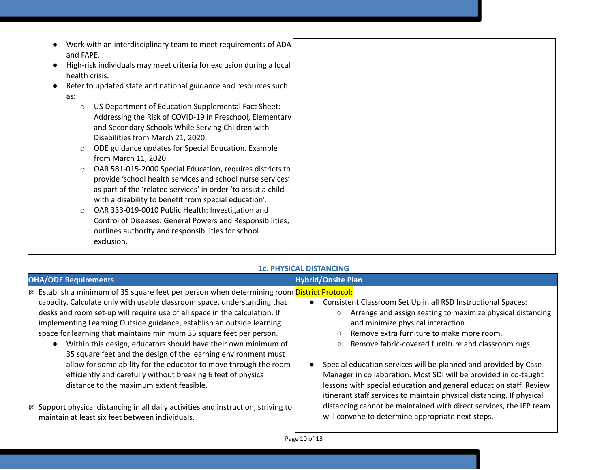- Work with an interdisciplinary team to meet requirements of ADA and FAPE.
- High-risk individuals may meet criteria for exclusion during a local health crisis.
- Refer to updated state and national guidance and resources such as:
	- o US Department of Education Supplemental Fact Sheet: Addressing the Risk of COVID-19 in Preschool, Elementary and Secondary Schools While Serving Children with Disabilities from March 21, 2020.
	- o ODE guidance updates for Special Education. Example from March 11, 2020.
	- o OAR 581-015-2000 Special Education, requires districts to provide 'school health services and school nurse services' as part of the 'related services' in order 'to assist a child with a disability to benefit from special education'.
	- o OAR 333-019-0010 Public Health: Investigation and Control of Diseases: General Powers and Responsibilities, outlines authority and responsibilities for school exclusion.

### **1c. PHYSICAL DISTANCING**

| <b>OHA/ODE Requirements</b>                                                               | <b>Hybrid/Onsite Plan</b>                                             |
|-------------------------------------------------------------------------------------------|-----------------------------------------------------------------------|
| Establish a minimum of 35 square feet per person when determining room District Protocol: | Consistent Classroom Set Up in all RSD Instructional Spaces:          |
| 区                                                                                         | Arrange and assign seating to maximize physical distancing            |
| capacity. Calculate only with usable classroom space, understanding that                  | $\circ$                                                               |
| desks and room set-up will require use of all space in the calculation. If                | and minimize physical interaction.                                    |
| implementing Learning Outside guidance, establish an outside learning                     | Remove extra furniture to make more room.                             |
| space for learning that maintains minimum 35 square feet per person.                      | $\circ$                                                               |
| Within this design, educators should have their own minimum of                            | Remove fabric-covered furniture and classroom rugs.                   |
| 35 square feet and the design of the learning environment must                            | $\circ$                                                               |
| allow for some ability for the educator to move through the room                          | Special education services will be planned and provided by Case       |
| efficiently and carefully without breaking 6 feet of physical                             | Manager in collaboration. Most SDI will be provided in co-taught      |
| distance to the maximum extent feasible.                                                  | lessons with special education and general education staff. Review    |
| Support physical distancing in all daily activities and instruction, striving to          | itinerant staff services to maintain physical distancing. If physical |
| 区                                                                                         | distancing cannot be maintained with direct services, the IEP team    |
| maintain at least six feet between individuals.                                           | will convene to determine appropriate next steps.                     |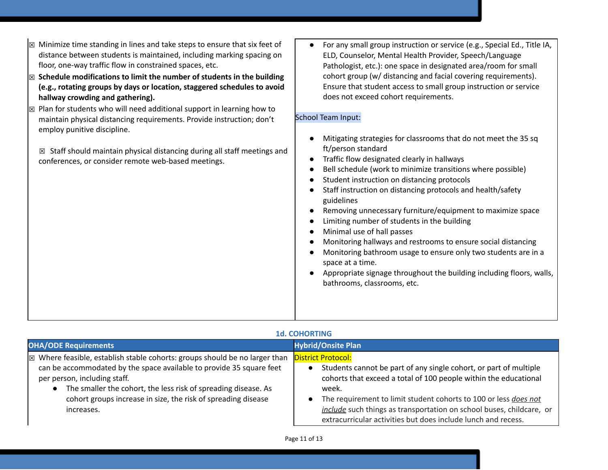- $\boxtimes$  Minimize time standing in lines and take steps to ensure that six feet of distance between students is maintained, including marking spacing on floor, one-way traffic flow in constrained spaces, etc.
- ☒ **Schedule modifications to limit the number of students in the building (e.g., rotating groups by days or location, staggered schedules to avoid hallway crowding and gathering).**
- $\boxtimes$  Plan for students who will need additional support in learning how to maintain physical distancing requirements. Provide instruction; don't employ punitive discipline.

 $\boxtimes$  Staff should maintain physical distancing during all staff meetings and conferences, or consider remote web-based meetings.

● For any small group instruction or service (e.g., Special Ed., Title IA, ELD, Counselor, Mental Health Provider, Speech/Language Pathologist, etc.): one space in designated area/room for small cohort group (w/ distancing and facial covering requirements). Ensure that student access to small group instruction or service does not exceed cohort requirements.

### School Team Input:

- Mitigating strategies for classrooms that do not meet the 35 sq ft/person standard
- Traffic flow designated clearly in hallways
- Bell schedule (work to minimize transitions where possible)
- Student instruction on distancing protocols
- Staff instruction on distancing protocols and health/safety guidelines
- Removing unnecessary furniture/equipment to maximize space
- Limiting number of students in the building
- Minimal use of hall passes
- Monitoring hallways and restrooms to ensure social distancing
- Monitoring bathroom usage to ensure only two students are in a space at a time.
- Appropriate signage throughout the building including floors, walls, bathrooms, classrooms, etc.

| <b>1d. COHORTING</b>                                                                                                                                                                                                                                                                                                                           |                                                                                                                                                                                                                                                                                                                                                                                          |
|------------------------------------------------------------------------------------------------------------------------------------------------------------------------------------------------------------------------------------------------------------------------------------------------------------------------------------------------|------------------------------------------------------------------------------------------------------------------------------------------------------------------------------------------------------------------------------------------------------------------------------------------------------------------------------------------------------------------------------------------|
| <b>OHA/ODE Requirements</b>                                                                                                                                                                                                                                                                                                                    | <b>Hybrid/Onsite Plan</b>                                                                                                                                                                                                                                                                                                                                                                |
| $\boxtimes$ Where feasible, establish stable cohorts: groups should be no larger than<br>can be accommodated by the space available to provide 35 square feet<br>per person, including staff.<br>The smaller the cohort, the less risk of spreading disease. As<br>cohort groups increase in size, the risk of spreading disease<br>increases. | <b>District Protocol:</b><br>Students cannot be part of any single cohort, or part of multiple<br>cohorts that exceed a total of 100 people within the educational<br>week.<br>The requirement to limit student cohorts to 100 or less does not<br>include such things as transportation on school buses, childcare, or<br>extracurricular activities but does include lunch and recess. |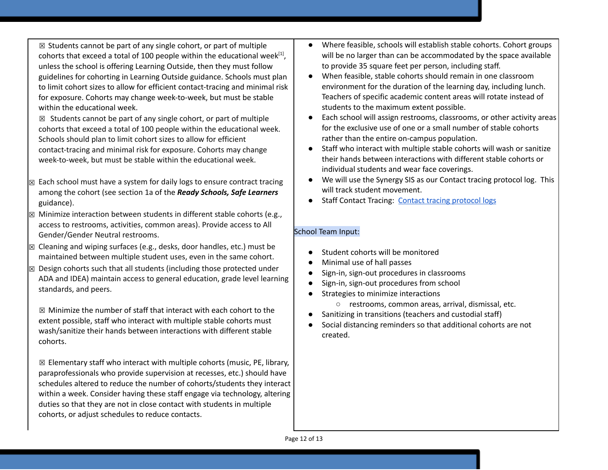$\boxtimes$  Students cannot be part of any single cohort, or part of multiple cohorts that exceed a total of 100 people within the educational week $^{[1]}$ , unless the school is offering Learning Outside, then they must follow guidelines for cohorting in Learning Outside guidance. Schools must plan to limit cohort sizes to allow for efficient contact-tracing and minimal risk for exposure. Cohorts may change week-to-week, but must be stable within the educational week.

 $\boxtimes$  Students cannot be part of any single cohort, or part of multiple cohorts that exceed a total of 100 people within the educational week. Schools should plan to limit cohort sizes to allow for efficient contact-tracing and minimal risk for exposure. Cohorts may change week-to-week, but must be stable within the educational week.

- ☒ Each school must have a system for daily logs to ensure contract tracing among the cohort (see section 1a of the *Ready Schools, Safe Learners* guidance).
- $\boxtimes$  Minimize interaction between students in different stable cohorts (e.g., access to restrooms, activities, common areas). Provide access to All Gender/Gender Neutral restrooms.
- $\boxtimes$  Cleaning and wiping surfaces (e.g., desks, door handles, etc.) must be maintained between multiple student uses, even in the same cohort.
- $\boxtimes$  Design cohorts such that all students (including those protected under ADA and IDEA) maintain access to general education, grade level learning standards, and peers.

 $\boxtimes$  Minimize the number of staff that interact with each cohort to the extent possible, staff who interact with multiple stable cohorts must wash/sanitize their hands between interactions with different stable cohorts.

 $\boxtimes$  Elementary staff who interact with multiple cohorts (music, PE, library, paraprofessionals who provide supervision at recesses, etc.) should have schedules altered to reduce the number of cohorts/students they interact within a week. Consider having these staff engage via technology, altering duties so that they are not in close contact with students in multiple cohorts, or adjust schedules to reduce contacts.

- Where feasible, schools will establish stable cohorts. Cohort groups will be no larger than can be accommodated by the space available to provide 35 square feet per person, including staff.
- When feasible, stable cohorts should remain in one classroom environment for the duration of the learning day, including lunch. Teachers of specific academic content areas will rotate instead of students to the maximum extent possible.
- Each school will assign restrooms, classrooms, or other activity areas for the exclusive use of one or a small number of stable cohorts rather than the entire on-campus population.
- Staff who interact with multiple stable cohorts will wash or sanitize their hands between interactions with different stable cohorts or individual students and wear face coverings.
- We will use the Synergy SIS as our Contact tracing protocol log. This will track student movement.
- Staff Contact Tracing: Contact tracing [protocol](https://docs.google.com/document/d/1hj6nIWiN7zIQ6gVQLIsV3iR_tX3w8YgSvfHYoRkBuCc/edit?usp=sharing) logs

### School Team Input:

- Student cohorts will be monitored
- Minimal use of hall passes
- Sign-in, sign-out procedures in classrooms
- Sign-in, sign-out procedures from school
- Strategies to minimize interactions
	- restrooms, common areas, arrival, dismissal, etc.
- Sanitizing in transitions (teachers and custodial staff)
- Social distancing reminders so that additional cohorts are not created.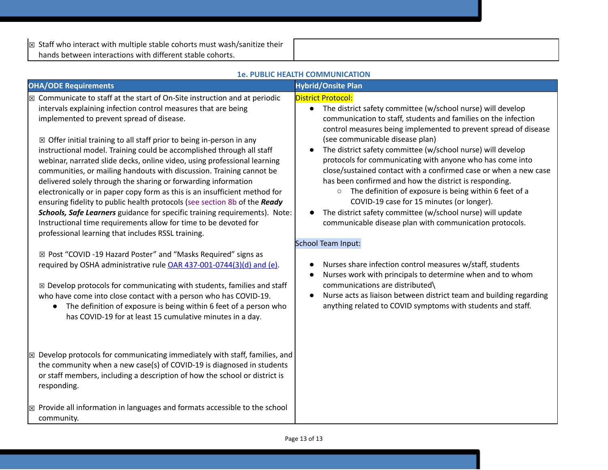$\sqrt{\mathbb{Z}}$  Staff who interact with multiple stable cohorts must wash/sanitize their hands between interactions with different stable cohorts.

|                                                                                                                                                                                                                                                                                                                                                                                                                                                                                                                                                                                                                                                                                                                                                                                                                                                                                                                                                                                                                                                                                                                                                                                                                                                                                                                                                                                                  | <b>1e. PUBLIC HEALTH COMMUNICATION</b>                                                                                                                                                                                                                                                                                                                                                                                                                                                                                                                                                                                                                                                                                                                                                                                                                                                                                                                                                                                                                                                                                  |
|--------------------------------------------------------------------------------------------------------------------------------------------------------------------------------------------------------------------------------------------------------------------------------------------------------------------------------------------------------------------------------------------------------------------------------------------------------------------------------------------------------------------------------------------------------------------------------------------------------------------------------------------------------------------------------------------------------------------------------------------------------------------------------------------------------------------------------------------------------------------------------------------------------------------------------------------------------------------------------------------------------------------------------------------------------------------------------------------------------------------------------------------------------------------------------------------------------------------------------------------------------------------------------------------------------------------------------------------------------------------------------------------------|-------------------------------------------------------------------------------------------------------------------------------------------------------------------------------------------------------------------------------------------------------------------------------------------------------------------------------------------------------------------------------------------------------------------------------------------------------------------------------------------------------------------------------------------------------------------------------------------------------------------------------------------------------------------------------------------------------------------------------------------------------------------------------------------------------------------------------------------------------------------------------------------------------------------------------------------------------------------------------------------------------------------------------------------------------------------------------------------------------------------------|
| <b>OHA/ODE Requirements</b>                                                                                                                                                                                                                                                                                                                                                                                                                                                                                                                                                                                                                                                                                                                                                                                                                                                                                                                                                                                                                                                                                                                                                                                                                                                                                                                                                                      | <b>Hybrid/Onsite Plan</b>                                                                                                                                                                                                                                                                                                                                                                                                                                                                                                                                                                                                                                                                                                                                                                                                                                                                                                                                                                                                                                                                                               |
| Communicate to staff at the start of On-Site instruction and at periodic<br>$\boxtimes$<br>intervals explaining infection control measures that are being<br>implemented to prevent spread of disease.<br>$\boxtimes$ Offer initial training to all staff prior to being in-person in any<br>instructional model. Training could be accomplished through all staff<br>webinar, narrated slide decks, online video, using professional learning<br>communities, or mailing handouts with discussion. Training cannot be<br>delivered solely through the sharing or forwarding information<br>electronically or in paper copy form as this is an insufficient method for<br>ensuring fidelity to public health protocols (see section 8b of the Ready<br>Schools, Safe Learners guidance for specific training requirements). Note:<br>Instructional time requirements allow for time to be devoted for<br>professional learning that includes RSSL training.<br>⊠ Post "COVID -19 Hazard Poster" and "Masks Required" signs as<br>required by OSHA administrative rule OAR 437-001-0744(3)(d) and (e).<br>$\boxtimes$ Develop protocols for communicating with students, families and staff<br>who have come into close contact with a person who has COVID-19.<br>The definition of exposure is being within 6 feet of a person who<br>has COVID-19 for at least 15 cumulative minutes in a day. | <b>District Protocol:</b><br>The district safety committee (w/school nurse) will develop<br>$\bullet$<br>communication to staff, students and families on the infection<br>control measures being implemented to prevent spread of disease<br>(see communicable disease plan)<br>The district safety committee (w/school nurse) will develop<br>protocols for communicating with anyone who has come into<br>close/sustained contact with a confirmed case or when a new case<br>has been confirmed and how the district is responding.<br>The definition of exposure is being within 6 feet of a<br>$\circ$<br>COVID-19 case for 15 minutes (or longer).<br>The district safety committee (w/school nurse) will update<br>communicable disease plan with communication protocols.<br>School Team Input:<br>Nurses share infection control measures w/staff, students<br>Nurses work with principals to determine when and to whom<br>communications are distributed\<br>Nurse acts as liaison between district team and building regarding<br>$\bullet$<br>anything related to COVID symptoms with students and staff. |
| Develop protocols for communicating immediately with staff, families, and<br>$\boxtimes$<br>the community when a new case(s) of COVID-19 is diagnosed in students<br>or staff members, including a description of how the school or district is<br>responding.                                                                                                                                                                                                                                                                                                                                                                                                                                                                                                                                                                                                                                                                                                                                                                                                                                                                                                                                                                                                                                                                                                                                   |                                                                                                                                                                                                                                                                                                                                                                                                                                                                                                                                                                                                                                                                                                                                                                                                                                                                                                                                                                                                                                                                                                                         |
| $\boxtimes$ Provide all information in languages and formats accessible to the school<br>community.                                                                                                                                                                                                                                                                                                                                                                                                                                                                                                                                                                                                                                                                                                                                                                                                                                                                                                                                                                                                                                                                                                                                                                                                                                                                                              |                                                                                                                                                                                                                                                                                                                                                                                                                                                                                                                                                                                                                                                                                                                                                                                                                                                                                                                                                                                                                                                                                                                         |

Page 13 of 13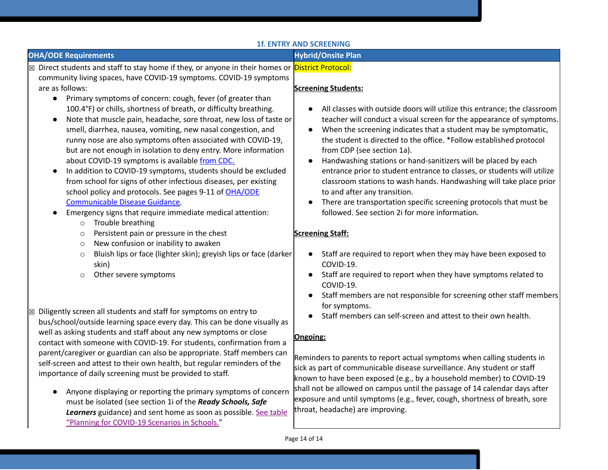### **1f. ENTRY AND SCREENING**

|                                                                                                                                                                                                                                                                                                                                                                                                                                                                                                                                                                                                                                                                                                                                                                                                                                                                                                                                                                                                                        | IT. EN I KY AND SCKEENING                                                                                                                                                                                                                                                                                                                                                                                                                                                                                                                                                                                                                                                                                                                       |
|------------------------------------------------------------------------------------------------------------------------------------------------------------------------------------------------------------------------------------------------------------------------------------------------------------------------------------------------------------------------------------------------------------------------------------------------------------------------------------------------------------------------------------------------------------------------------------------------------------------------------------------------------------------------------------------------------------------------------------------------------------------------------------------------------------------------------------------------------------------------------------------------------------------------------------------------------------------------------------------------------------------------|-------------------------------------------------------------------------------------------------------------------------------------------------------------------------------------------------------------------------------------------------------------------------------------------------------------------------------------------------------------------------------------------------------------------------------------------------------------------------------------------------------------------------------------------------------------------------------------------------------------------------------------------------------------------------------------------------------------------------------------------------|
| <b>OHA/ODE Requirements</b>                                                                                                                                                                                                                                                                                                                                                                                                                                                                                                                                                                                                                                                                                                                                                                                                                                                                                                                                                                                            | <b>Hybrid/Onsite Plan</b>                                                                                                                                                                                                                                                                                                                                                                                                                                                                                                                                                                                                                                                                                                                       |
| ⊠ Direct students and staff to stay home if they, or anyone in their homes or <mark>District Protocol:</mark><br>community living spaces, have COVID-19 symptoms. COVID-19 symptoms<br>are as follows:<br>Primary symptoms of concern: cough, fever (of greater than<br>$\bullet$<br>100.4°F) or chills, shortness of breath, or difficulty breathing.<br>Note that muscle pain, headache, sore throat, new loss of taste or<br>$\bullet$<br>smell, diarrhea, nausea, vomiting, new nasal congestion, and<br>runny nose are also symptoms often associated with COVID-19,<br>but are not enough in isolation to deny entry. More information<br>about COVID-19 symptoms is available from CDC.<br>In addition to COVID-19 symptoms, students should be excluded<br>$\bullet$<br>from school for signs of other infectious diseases, per existing<br>school policy and protocols. See pages 9-11 of OHA/ODE<br>Communicable Disease Guidance.<br>Emergency signs that require immediate medical attention:<br>$\bullet$ | <b>Screening Students:</b><br>All classes with outside doors will utilize this entrance; the classroom<br>teacher will conduct a visual screen for the appearance of symptoms.<br>When the screening indicates that a student may be symptomatic,<br>$\bullet$<br>the student is directed to the office. *Follow established protocol<br>from CDP (see section 1a).<br>Handwashing stations or hand-sanitizers will be placed by each<br>entrance prior to student entrance to classes, or students will utilize<br>classroom stations to wash hands. Handwashing will take place prior<br>to and after any transition.<br>There are transportation specific screening protocols that must be<br>followed. See section 2i for more information. |
| Trouble breathing<br>$\circ$<br>Persistent pain or pressure in the chest<br>$\circ$<br>New confusion or inability to awaken<br>$\circ$<br>Bluish lips or face (lighter skin); greyish lips or face (darker<br>$\circ$<br>skin)<br>Other severe symptoms<br>$\circ$                                                                                                                                                                                                                                                                                                                                                                                                                                                                                                                                                                                                                                                                                                                                                     | <b>Screening Staff:</b><br>Staff are required to report when they may have been exposed to<br>COVID-19.<br>Staff are required to report when they have symptoms related to<br>COVID-19.<br>Staff members are not responsible for screening other staff members                                                                                                                                                                                                                                                                                                                                                                                                                                                                                  |
| $\boxtimes$ Diligently screen all students and staff for symptoms on entry to<br>bus/school/outside learning space every day. This can be done visually as<br>well as asking students and staff about any new symptoms or close<br>contact with someone with COVID-19. For students, confirmation from a<br>parent/caregiver or guardian can also be appropriate. Staff members can<br>self-screen and attest to their own health, but regular reminders of the<br>importance of daily screening must be provided to staff.<br>Anyone displaying or reporting the primary symptoms of concern<br>must be isolated (see section 1i of the Ready Schools, Safe<br>Learners guidance) and sent home as soon as possible. See table<br>"Planning for COVID-19 Scenarios in Schools."                                                                                                                                                                                                                                       | for symptoms.<br>Staff members can self-screen and attest to their own health.<br>Ongoing:<br>Reminders to parents to report actual symptoms when calling students in<br>sick as part of communicable disease surveillance. Any student or staff<br>known to have been exposed (e.g., by a household member) to COVID-19<br>shall not be allowed on campus until the passage of 14 calendar days after<br>exposure and until symptoms (e.g., fever, cough, shortness of breath, sore<br>throat, headache) are improving.                                                                                                                                                                                                                        |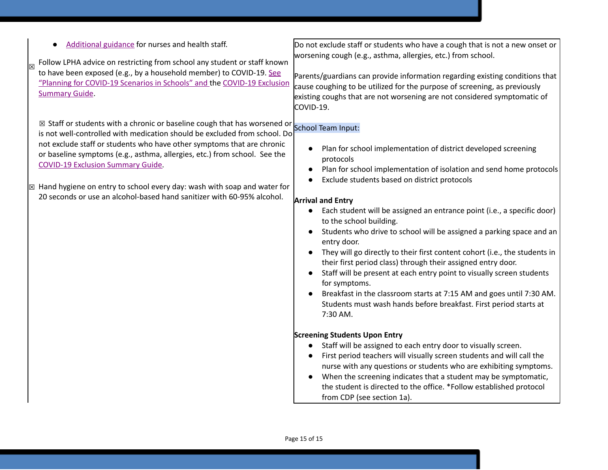| Additional guidance for nurses and health staff.<br>Follow LPHA advice on restricting from school any student or staff known<br>to have been exposed (e.g., by a household member) to COVID-19. See<br>"Planning for COVID-19 Scenarios in Schools" and the COVID-19 Exclusion<br><b>Summary Guide.</b>                                                                                                                                                                                                                                               | Do not exclude staff or students who have a cough that is not a new onset or<br>worsening cough (e.g., asthma, allergies, etc.) from school.<br>Parents/guardians can provide information regarding existing conditions that<br>cause coughing to be utilized for the purpose of screening, as previously<br>existing coughs that are not worsening are not considered symptomatic of<br>COVID-19.                                                                                                                                                                                                                                                                                                                                                                                                                                                                                                                                                                                                                                                                                                                                                                                                                                                            |
|-------------------------------------------------------------------------------------------------------------------------------------------------------------------------------------------------------------------------------------------------------------------------------------------------------------------------------------------------------------------------------------------------------------------------------------------------------------------------------------------------------------------------------------------------------|---------------------------------------------------------------------------------------------------------------------------------------------------------------------------------------------------------------------------------------------------------------------------------------------------------------------------------------------------------------------------------------------------------------------------------------------------------------------------------------------------------------------------------------------------------------------------------------------------------------------------------------------------------------------------------------------------------------------------------------------------------------------------------------------------------------------------------------------------------------------------------------------------------------------------------------------------------------------------------------------------------------------------------------------------------------------------------------------------------------------------------------------------------------------------------------------------------------------------------------------------------------|
| ⊠ Staff or students with a chronic or baseline cough that has worsened or $\vert$ School Team Input:<br>is not well-controlled with medication should be excluded from school. Do<br>not exclude staff or students who have other symptoms that are chronic<br>or baseline symptoms (e.g., asthma, allergies, etc.) from school. See the<br><b>COVID-19 Exclusion Summary Guide.</b><br>$\boxtimes$ Hand hygiene on entry to school every day: wash with soap and water for<br>20 seconds or use an alcohol-based hand sanitizer with 60-95% alcohol. | Plan for school implementation of district developed screening<br>protocols<br>Plan for school implementation of isolation and send home protocols<br>Exclude students based on district protocols<br><b>Arrival and Entry</b><br>• Each student will be assigned an entrance point (i.e., a specific door)<br>to the school building.<br>Students who drive to school will be assigned a parking space and an<br>entry door.<br>They will go directly to their first content cohort (i.e., the students in<br>their first period class) through their assigned entry door.<br>Staff will be present at each entry point to visually screen students<br>for symptoms.<br>Breakfast in the classroom starts at 7:15 AM and goes until 7:30 AM.<br>Students must wash hands before breakfast. First period starts at<br>7:30 AM.<br><b>Screening Students Upon Entry</b><br>Staff will be assigned to each entry door to visually screen.<br>First period teachers will visually screen students and will call the<br>nurse with any questions or students who are exhibiting symptoms.<br>When the screening indicates that a student may be symptomatic,<br>the student is directed to the office. *Follow established protocol<br>from CDP (see section 1a). |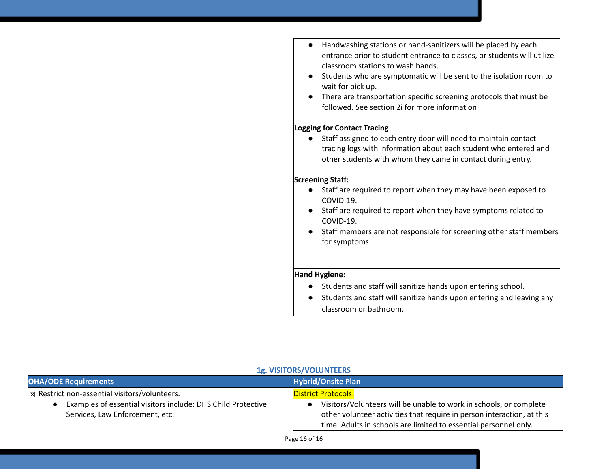| Handwashing stations or hand-sanitizers will be placed by each<br>entrance prior to student entrance to classes, or students will utilize<br>classroom stations to wash hands.<br>Students who are symptomatic will be sent to the isolation room to<br>wait for pick up.<br>There are transportation specific screening protocols that must be<br>followed. See section 2i for more information |
|--------------------------------------------------------------------------------------------------------------------------------------------------------------------------------------------------------------------------------------------------------------------------------------------------------------------------------------------------------------------------------------------------|
| <b>Logging for Contact Tracing</b>                                                                                                                                                                                                                                                                                                                                                               |
| • Staff assigned to each entry door will need to maintain contact<br>tracing logs with information about each student who entered and<br>other students with whom they came in contact during entry.                                                                                                                                                                                             |
| <b>Screening Staff:</b>                                                                                                                                                                                                                                                                                                                                                                          |
| • Staff are required to report when they may have been exposed to<br>COVID-19.                                                                                                                                                                                                                                                                                                                   |
| Staff are required to report when they have symptoms related to<br>COVID-19.                                                                                                                                                                                                                                                                                                                     |
| Staff members are not responsible for screening other staff members<br>for symptoms.                                                                                                                                                                                                                                                                                                             |
|                                                                                                                                                                                                                                                                                                                                                                                                  |
| <b>Hand Hygiene:</b>                                                                                                                                                                                                                                                                                                                                                                             |
| Students and staff will sanitize hands upon entering school.                                                                                                                                                                                                                                                                                                                                     |
| Students and staff will sanitize hands upon entering and leaving any                                                                                                                                                                                                                                                                                                                             |
| classroom or bathroom.                                                                                                                                                                                                                                                                                                                                                                           |

| <b>OHA/ODE Requirements</b>                                                                     | <b>Hybrid/Onsite Plan</b>                                                                                                                                                                                        |
|-------------------------------------------------------------------------------------------------|------------------------------------------------------------------------------------------------------------------------------------------------------------------------------------------------------------------|
| $\boxtimes$ Restrict non-essential visitors/volunteers.                                         | <b>District Protocols:</b>                                                                                                                                                                                       |
| Examples of essential visitors include: DHS Child Protective<br>Services, Law Enforcement, etc. | Visitors/Volunteers will be unable to work in schools, or complete<br>other volunteer activities that require in person interaction, at this<br>time. Adults in schools are limited to essential personnel only. |

### **1g. VISITORS/VOLUNTEERS**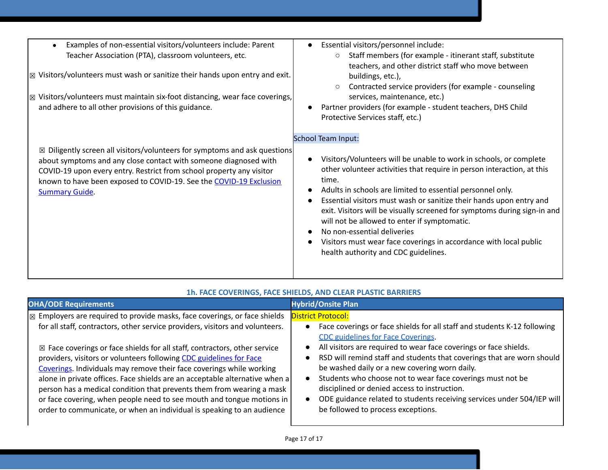| Examples of non-essential visitors/volunteers include: Parent<br>Teacher Association (PTA), classroom volunteers, etc.<br>$\sqrt{\mathbb{Z}}$ Visitors/volunteers must wash or sanitize their hands upon entry and exit.<br>Visitors/volunteers must maintain six-foot distancing, wear face coverings,<br>$\boxtimes$<br>and adhere to all other provisions of this guidance. | Essential visitors/personnel include:<br>$\bullet$<br>Staff members (for example - itinerant staff, substitute<br>$\circ$<br>teachers, and other district staff who move between<br>buildings, etc.),<br>Contracted service providers (for example - counseling<br>services, maintenance, etc.)<br>Partner providers (for example - student teachers, DHS Child<br>Protective Services staff, etc.)                                                                                                                                                                                                                                    |
|--------------------------------------------------------------------------------------------------------------------------------------------------------------------------------------------------------------------------------------------------------------------------------------------------------------------------------------------------------------------------------|----------------------------------------------------------------------------------------------------------------------------------------------------------------------------------------------------------------------------------------------------------------------------------------------------------------------------------------------------------------------------------------------------------------------------------------------------------------------------------------------------------------------------------------------------------------------------------------------------------------------------------------|
| $\boxtimes$ Diligently screen all visitors/volunteers for symptoms and ask questions<br>about symptoms and any close contact with someone diagnosed with<br>COVID-19 upon every entry. Restrict from school property any visitor<br>known to have been exposed to COVID-19. See the COVID-19 Exclusion<br><b>Summary Guide</b>                                                 | <b>School Team Input:</b><br>Visitors/Volunteers will be unable to work in schools, or complete<br>$\bullet$<br>other volunteer activities that require in person interaction, at this<br>time.<br>Adults in schools are limited to essential personnel only.<br>Essential visitors must wash or sanitize their hands upon entry and<br>$\bullet$<br>exit. Visitors will be visually screened for symptoms during sign-in and<br>will not be allowed to enter if symptomatic.<br>No non-essential deliveries<br>Visitors must wear face coverings in accordance with local public<br>$\bullet$<br>health authority and CDC guidelines. |

| <b>OHA/ODE Requirements</b>                                                                                                                                                                                                                                                                                                                                                                                                                                                                  | <b>Hybrid/Onsite Plan</b>                                                                                                                                                                                                                                                                                                                                                                                 |
|----------------------------------------------------------------------------------------------------------------------------------------------------------------------------------------------------------------------------------------------------------------------------------------------------------------------------------------------------------------------------------------------------------------------------------------------------------------------------------------------|-----------------------------------------------------------------------------------------------------------------------------------------------------------------------------------------------------------------------------------------------------------------------------------------------------------------------------------------------------------------------------------------------------------|
| $\mathbb{R}$ Employers are required to provide masks, face coverings, or face shields<br>for all staff, contractors, other service providers, visitors and volunteers.<br>$\boxtimes$ Face coverings or face shields for all staff, contractors, other service<br>providers, visitors or volunteers following CDC guidelines for Face<br>Coverings. Individuals may remove their face coverings while working<br>alone in private offices. Face shields are an acceptable alternative when a | <b>District Protocol:</b><br>Face coverings or face shields for all staff and students K-12 following<br>CDC guidelines for Face Coverings.<br>All visitors are required to wear face coverings or face shields.<br>RSD will remind staff and students that coverings that are worn should<br>be washed daily or a new covering worn daily.<br>Students who choose not to wear face coverings must not be |
| person has a medical condition that prevents them from wearing a mask<br>or face covering, when people need to see mouth and tongue motions in<br>order to communicate, or when an individual is speaking to an audience                                                                                                                                                                                                                                                                     | disciplined or denied access to instruction.<br>ODE guidance related to students receiving services under 504/IEP will<br>be followed to process exceptions.                                                                                                                                                                                                                                              |

### **1h. FACE COVERINGS, FACE SHIELDS, AND CLEAR PLASTIC BARRIERS**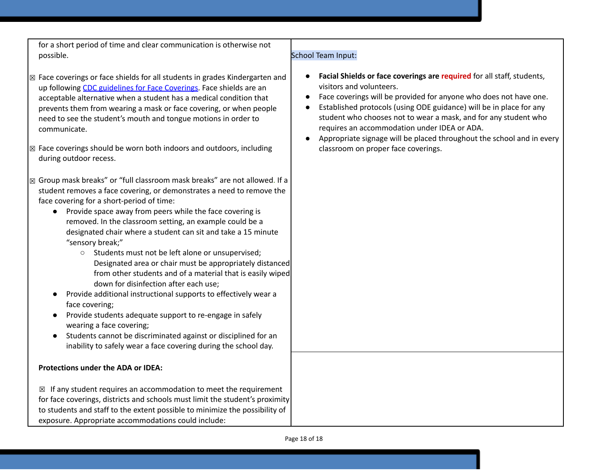for a short period of time and clear communication is otherwise not possible. School Team Input:

- $\boxtimes$  Face coverings or face shields for all students in grades Kindergarten and up followin[g](https://www.cdc.gov/coronavirus/2019-ncov/prevent-getting-sick/diy-cloth-face-coverings.html) CDC [guidelines](https://www.cdc.gov/coronavirus/2019-ncov/prevent-getting-sick/diy-cloth-face-coverings.html) for Face Coverings. Face shields are an acceptable alternative when a student has a medical condition that prevents them from wearing a mask or face covering, or when people need to see the student's mouth and tongue motions in order to communicate.
- ☒ Face coverings should be worn both indoors and outdoors, including during outdoor recess.
- ☒ Group mask breaks" or "full classroom mask breaks" are not allowed. If a student removes a face covering, or demonstrates a need to remove the face covering for a short-period of time:
	- Provide space away from peers while the face covering is removed. In the classroom setting, an example could be a designated chair where a student can sit and take a 15 minute "sensory break;"
		- Students must not be left alone or unsupervised; Designated area or chair must be appropriately distanced from other students and of a material that is easily wiped down for disinfection after each use;
	- Provide additional instructional supports to effectively wear a face covering;
	- Provide students adequate support to re-engage in safely wearing a face covering;
	- Students cannot be discriminated against or disciplined for an inability to safely wear a face covering during the school day.

#### **Protections under the ADA or IDEA:**

 $\boxtimes$  If any student requires an accommodation to meet the requirement for face coverings, districts and schools must limit the student's proximity to students and staff to the extent possible to minimize the possibility of exposure. Appropriate accommodations could include:

- **Facial Shields or face coverings are required** for all staff, students, visitors and volunteers.
- Face coverings will be provided for anyone who does not have one.
- Established protocols (using ODE guidance) will be in place for any student who chooses not to wear a mask, and for any student who requires an accommodation under IDEA or ADA.
- Appropriate signage will be placed throughout the school and in every classroom on proper face coverings.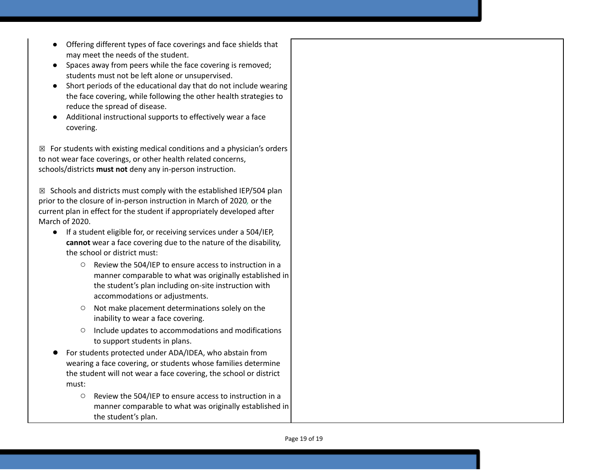- Offering different types of face coverings and face shields that may meet the needs of the student.
- Spaces away from peers while the face covering is removed; students must not be left alone or unsupervised.
- Short periods of the educational day that do not include wearing the face covering, while following the other health strategies to reduce the spread of disease.
- Additional instructional supports to effectively wear a face c o v e rin g.

 $\boxtimes$  For students with existing medical conditions and a physician's orders to not wear face coverings, or other health related concerns, schools/districts must not deny any in-person instruction.

 $\boxtimes$  Schools and districts must comply with the established IEP/504 plan prior to the closure of in-person instruction in March of 2020, or the current plan in effect for the student if appropriately developed after March of 2020.

- If a student eligible for, or receiving services under a 504/IEP, cannot wear a face covering due to the nature of the disability, the school or district must:
	- $\circ$  Review the 504/IEP to ensure access to instruction in a manner comparable to what was originally established in the student's plan including on-site instruction with accommodations or adjustments.
	- o Not make placement determinations solely on the inability to wear a face covering.
	- O Include updates to accommodations and modifications to support students in plans.
- For students protected under ADA/IDEA, who abstain from wearing a face covering, or students whose families determine the student will not wear a face covering, the school or district must:
	- Review the 504/IEP to ensure access to instruction in a manner comparable to what was originally established in the student's plan.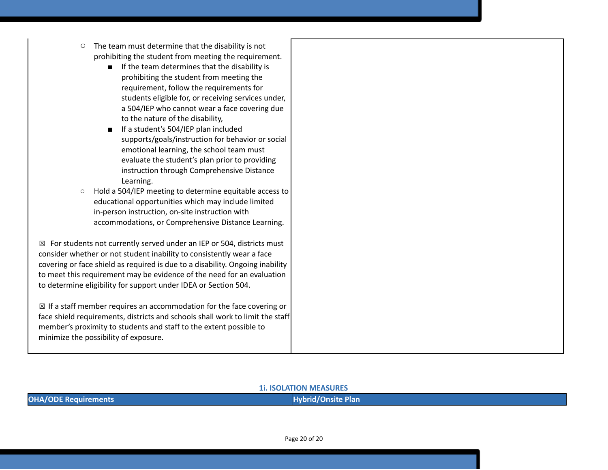- The team must determine that the disability is not prohibiting the student from meeting the requirement.
	- If the team determines that the disability is prohibiting the student from meeting the requirement, follow the requirements for students eligible for, or receiving services under, a 504/IEP who cannot wear a face covering due to the nature of the disability,
	- If a student's 504/IEP plan included supports/goals/instruction for behavior or social emotional learning, the school team must evaluate the student's plan prior to providing instruction through Comprehensive Distance Learning.
- Hold a 504/IEP meeting to determine equitable access to educational opportunities which may include limited in-person instruction, on-site instruction with accommodations, or Comprehensive Distance Learning.

 $\boxtimes$  For students not currently served under an IEP or 504, districts must consider whether or not student inability to consistently wear a face covering or face shield as required is due to a disability. Ongoing inability to meet this requirement may be evidence of the need for an evaluation to determine eligibility for support under IDEA or Section 504.

 $\boxtimes$  If a staff member requires an accommodation for the face covering or face shield requirements, districts and schools shall work to limit the staff member's proximity to students and staff to the extent possible to minimize the possibility of exposure.

#### **1i. ISOLATION MEASURES**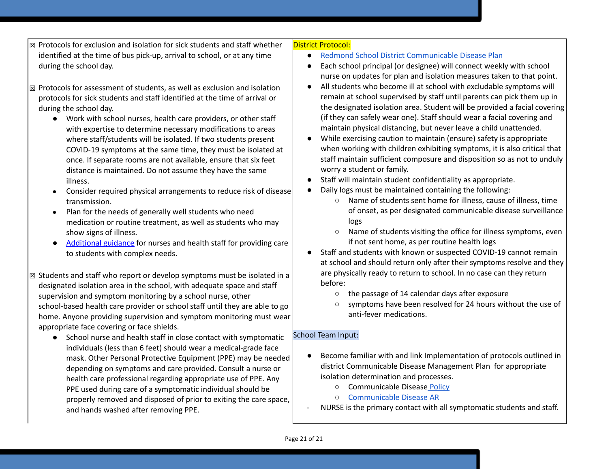- ☒ Protocols for exclusion and isolation for sick students and staff whether identified at the time of bus pick-up, arrival to school, or at any time during the school day.
- ☒ Protocols for assessment of students, as well as exclusion and isolation protocols for sick students and staff identified at the time of arrival or during the school day.
	- Work with school nurses, health care providers, or other staff with expertise to determine necessary modifications to areas where staff/students will be isolated. If two students present COVID-19 symptoms at the same time, they must be isolated at once. If separate rooms are not available, ensure that six feet distance is maintained. Do not assume they have the same illness.
	- Consider required physical arrangements to reduce risk of disease transmission.
	- Plan for the needs of generally well students who need medication or routine treatment, as well as students who may show signs of illness.
	- [Additional](https://www.oregon.gov/ode/students-and-family/healthsafety/Documents/Additional%20Considerations%20for%20Staff%20Working%20with%20Students%20with%20Complex%20Needs.pdf) guidance for nurses and health staff for providing care to students with complex needs.
- $\boxtimes$  Students and staff who report or develop symptoms must be isolated in a designated isolation area in the school, with adequate space and staff supervision and symptom monitoring by a school nurse, other school-based health care provider or school staff until they are able to go home. Anyone providing supervision and symptom monitoring must wear appropriate face covering or face shields.
	- School nurse and health staff in close contact with symptomatic individuals (less than 6 feet) should wear a medical-grade face mask. Other Personal Protective Equipment (PPE) may be needed depending on symptoms and care provided. Consult a nurse or health care professional regarding appropriate use of PPE. Any PPE used during care of a symptomatic individual should be properly removed and disposed of prior to exiting the care space, and hands washed after removing PPE.

#### District Protocol:

- Redmond School District [Communicable](https://docs.google.com/document/d/1JwcMR6UjYzSMQmomD-JU4wZWsl5y7mCXP9dr-uvRUBI/edit?usp=sharing) Disease Plan
- Each school principal (or designee) will connect weekly with school nurse on updates for plan and isolation measures taken to that point.
- All students who become ill at school with excludable symptoms will remain at school supervised by staff until parents can pick them up in the designated isolation area. Student will be provided a facial covering (if they can safely wear one). Staff should wear a facial covering and maintain physical distancing, but never leave a child unattended.
- While exercising caution to maintain (ensure) safety is appropriate when working with children exhibiting symptoms, it is also critical that staff maintain sufficient composure and disposition so as not to unduly worry a student or family.
- Staff will maintain student confidentiality as appropriate.
- Daily logs must be maintained containing the following:
	- Name of students sent home for illness, cause of illness, time of onset, as per designated communicable disease surveillance logs
	- Name of students visiting the office for illness symptoms, even if not sent home, as per routine health logs
- Staff and students with known or suspected COVID-19 cannot remain at school and should return only after their symptoms resolve and they are physically ready to return to school. In no case can they return before:
	- the passage of 14 calendar days after exposure
	- symptoms have been resolved for 24 hours without the use of anti-fever medications.

### School Team Input:

- Become familiar with and link Implementation of protocols outlined in district Communicable Disease Management Plan for appropriate isolation determination and processes.
	- Communicable Disease [Policy](https://policy.osba.org/redmond/J/JHCC%20G1.PDF)
	- [Communicable](https://policy.osba.org/redmond/J/JHCC%20R%20G1.PDF) Disease AR
- NURSE is the primary contact with all symptomatic students and staff.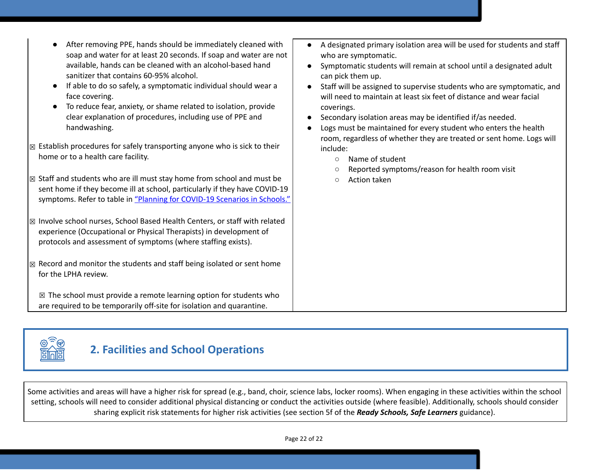- After removing PPE, hands should be immediately cleaned with soap and water for at least 20 seconds. If soap and water are not available, hands can be cleaned with an alcohol-based hand sanitizer that contains 60-95% alcohol.
- If able to do so safely, a symptomatic individual should wear a face covering.
- To reduce fear, anxiety, or shame related to isolation, provide clear explanation of procedures, including use of PPE and handwashing.
- $\boxtimes$  Establish procedures for safely transporting anyone who is sick to their home or to a health care facility.
- ☒ Staff and students who are ill must stay home from school and must be sent home if they become ill at school, particularly if they have COVID-19 symptoms. Refer to table i[n](https://www.oregon.gov/ode/students-and-family/healthsafety/Documents/Planning%20and%20Responding%20to%20COVID-19%20Scenarios%20in%20Schools%20August%202020.pdf) "Planning for [COVID-19](https://www.oregon.gov/ode/students-and-family/healthsafety/Documents/Planning%20and%20Responding%20to%20COVID-19%20Scenarios%20in%20Schools%20August%202020.pdf) Scenarios in Schools."

☒ Involve school nurses, School Based Health Centers, or staff with related experience (Occupational or Physical Therapists) in development of protocols and assessment of symptoms (where staffing exists).

 $\boxtimes$  Record and monitor the students and staff being isolated or sent home for the LPHA review.

 $\boxtimes$  The school must provide a remote learning option for students who are required to be temporarily off-site for isolation and quarantine.

- A designated primary isolation area will be used for students and staff who are symptomatic.
- Symptomatic students will remain at school until a designated adult can pick them up.
- Staff will be assigned to supervise students who are symptomatic, and will need to maintain at least six feet of distance and wear facial coverings.
- Secondary isolation areas may be identified if/as needed.
- Logs must be maintained for every student who enters the health room, regardless of whether they are treated or sent home. Logs will include:
	- Name of student
	- Reported symptoms/reason for health room visit
	- Action taken



# **2. Facilities and School Operations**

Some activities and areas will have a higher risk for spread (e.g., band, choir, science labs, locker rooms). When engaging in these activities within the school setting, schools will need to consider additional physical distancing or conduct the activities outside (where feasible). Additionally, schools should consider sharing explicit risk statements for higher risk activities (see section 5f of the *Ready Schools, Safe Learners* guidance).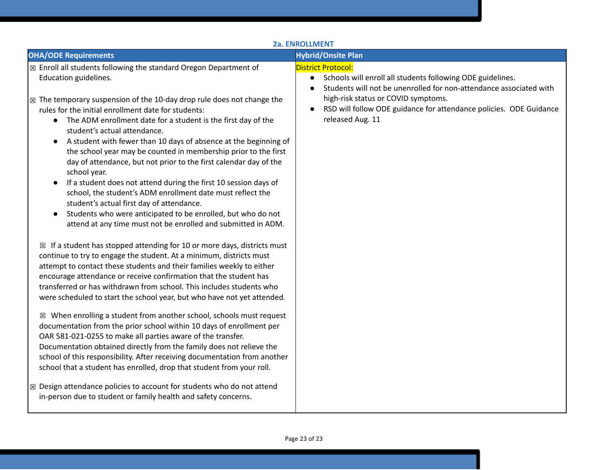|                                                                                                                                                                                                                                                                                                                                                                                                                                                                                                                                                                                                                                                                                                                                                                                                                                                                                                                                                                                                                                                                                                                                                                                                                                                                                                                                                                                                                                                                                                                                                                                                                                                                                                                                                                                                                                                                                                                                                       | 2a. ENROLLMENT                                                                                                                                                                                                                                                                                                           |
|-------------------------------------------------------------------------------------------------------------------------------------------------------------------------------------------------------------------------------------------------------------------------------------------------------------------------------------------------------------------------------------------------------------------------------------------------------------------------------------------------------------------------------------------------------------------------------------------------------------------------------------------------------------------------------------------------------------------------------------------------------------------------------------------------------------------------------------------------------------------------------------------------------------------------------------------------------------------------------------------------------------------------------------------------------------------------------------------------------------------------------------------------------------------------------------------------------------------------------------------------------------------------------------------------------------------------------------------------------------------------------------------------------------------------------------------------------------------------------------------------------------------------------------------------------------------------------------------------------------------------------------------------------------------------------------------------------------------------------------------------------------------------------------------------------------------------------------------------------------------------------------------------------------------------------------------------------|--------------------------------------------------------------------------------------------------------------------------------------------------------------------------------------------------------------------------------------------------------------------------------------------------------------------------|
| <b>OHA/ODE Requirements</b>                                                                                                                                                                                                                                                                                                                                                                                                                                                                                                                                                                                                                                                                                                                                                                                                                                                                                                                                                                                                                                                                                                                                                                                                                                                                                                                                                                                                                                                                                                                                                                                                                                                                                                                                                                                                                                                                                                                           | <b>Hybrid/Onsite Plan</b>                                                                                                                                                                                                                                                                                                |
| ⊠ Enroll all students following the standard Oregon Department of<br>Education guidelines.<br>$\boxtimes$ The temporary suspension of the 10-day drop rule does not change the<br>rules for the initial enrollment date for students:<br>• The ADM enrollment date for a student is the first day of the<br>student's actual attendance.<br>A student with fewer than 10 days of absence at the beginning of<br>the school year may be counted in membership prior to the first<br>day of attendance, but not prior to the first calendar day of the<br>school year.<br>If a student does not attend during the first 10 session days of<br>school, the student's ADM enrollment date must reflect the<br>student's actual first day of attendance.<br>Students who were anticipated to be enrolled, but who do not<br>attend at any time must not be enrolled and submitted in ADM.<br>$\boxtimes$ If a student has stopped attending for 10 or more days, districts must<br>continue to try to engage the student. At a minimum, districts must<br>attempt to contact these students and their families weekly to either<br>encourage attendance or receive confirmation that the student has<br>transferred or has withdrawn from school. This includes students who<br>were scheduled to start the school year, but who have not yet attended.<br>$\boxtimes$ When enrolling a student from another school, schools must request<br>documentation from the prior school within 10 days of enrollment per<br>OAR 581-021-0255 to make all parties aware of the transfer.<br>Documentation obtained directly from the family does not relieve the<br>school of this responsibility. After receiving documentation from another<br>school that a student has enrolled, drop that student from your roll.<br>⊠ Design attendance policies to account for students who do not attend<br>in-person due to student or family health and safety concerns. | <b>District Protocol:</b><br>Schools will enroll all students following ODE guidelines.<br>$\bullet$<br>Students will not be unenrolled for non-attendance associated with<br>$\bullet$<br>high-risk status or COVID symptoms.<br>RSD will follow ODE guidance for attendance policies. ODE Guidance<br>released Aug. 11 |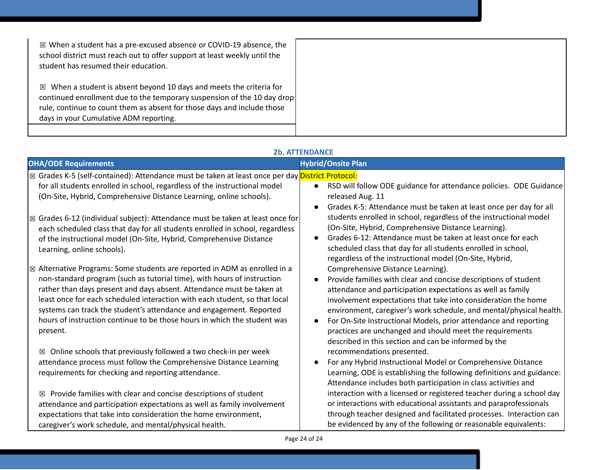| $\boxtimes$ When a student has a pre-excused absence or COVID-19 absence, the<br>school district must reach out to offer support at least weekly until the<br>student has resumed their education.                                                                             |
|--------------------------------------------------------------------------------------------------------------------------------------------------------------------------------------------------------------------------------------------------------------------------------|
| $\boxtimes$ When a student is absent beyond 10 days and meets the criteria for<br>continued enrollment due to the temporary suspension of the 10 day drop<br>rule, continue to count them as absent for those days and include those<br>days in your Cumulative ADM reporting. |

**2b. ATTENDANCE**

| <b>OHA/ODE Requirements</b>                                                                                                                                                                                                                                                                                                                                                                                                                                                                                                                                      | <b>Hybrid/Onsite Plan</b>                                                                                                                                                                                                                                                                                                                                                                                                                                                                                                          |
|------------------------------------------------------------------------------------------------------------------------------------------------------------------------------------------------------------------------------------------------------------------------------------------------------------------------------------------------------------------------------------------------------------------------------------------------------------------------------------------------------------------------------------------------------------------|------------------------------------------------------------------------------------------------------------------------------------------------------------------------------------------------------------------------------------------------------------------------------------------------------------------------------------------------------------------------------------------------------------------------------------------------------------------------------------------------------------------------------------|
| ⊠ Grades K-5 (self-contained): Attendance must be taken at least once per day <mark>District Protocol:</mark><br>for all students enrolled in school, regardless of the instructional model<br>(On-Site, Hybrid, Comprehensive Distance Learning, online schools).                                                                                                                                                                                                                                                                                               | RSD will follow ODE guidance for attendance policies. ODE Guidance<br>released Aug. 11                                                                                                                                                                                                                                                                                                                                                                                                                                             |
| Grades 6-12 (individual subject): Attendance must be taken at least once for<br>$\boxtimes$<br>each scheduled class that day for all students enrolled in school, regardless<br>of the instructional model (On-Site, Hybrid, Comprehensive Distance<br>Learning, online schools).                                                                                                                                                                                                                                                                                | Grades K-5: Attendance must be taken at least once per day for all<br>students enrolled in school, regardless of the instructional model<br>(On-Site, Hybrid, Comprehensive Distance Learning).<br>Grades 6-12: Attendance must be taken at least once for each<br>scheduled class that day for all students enrolled in school,<br>regardless of the instructional model (On-Site, Hybrid,                                                                                                                                        |
| Alternative Programs: Some students are reported in ADM as enrolled in a<br>$\boxtimes$<br>non-standard program (such as tutorial time), with hours of instruction<br>rather than days present and days absent. Attendance must be taken at<br>least once for each scheduled interaction with each student, so that local<br>systems can track the student's attendance and engagement. Reported<br>hours of instruction continue to be those hours in which the student was<br>present.<br>Online schools that previously followed a two check-in per week<br>⊠ | Comprehensive Distance Learning).<br>Provide families with clear and concise descriptions of student<br>attendance and participation expectations as well as family<br>involvement expectations that take into consideration the home<br>environment, caregiver's work schedule, and mental/physical health.<br>For On-Site Instructional Models, prior attendance and reporting<br>practices are unchanged and should meet the requirements<br>described in this section and can be informed by the<br>recommendations presented. |
| attendance process must follow the Comprehensive Distance Learning<br>requirements for checking and reporting attendance.                                                                                                                                                                                                                                                                                                                                                                                                                                        | For any Hybrid Instructional Model or Comprehensive Distance<br>Learning, ODE is establishing the following definitions and guidance:<br>Attendance includes both participation in class activities and                                                                                                                                                                                                                                                                                                                            |
| Provide families with clear and concise descriptions of student<br>⊠<br>attendance and participation expectations as well as family involvement<br>expectations that take into consideration the home environment,<br>caregiver's work schedule, and mental/physical health.                                                                                                                                                                                                                                                                                     | interaction with a licensed or registered teacher during a school day<br>or interactions with educational assistants and paraprofessionals<br>through teacher designed and facilitated processes. Interaction can<br>be evidenced by any of the following or reasonable equivalents:                                                                                                                                                                                                                                               |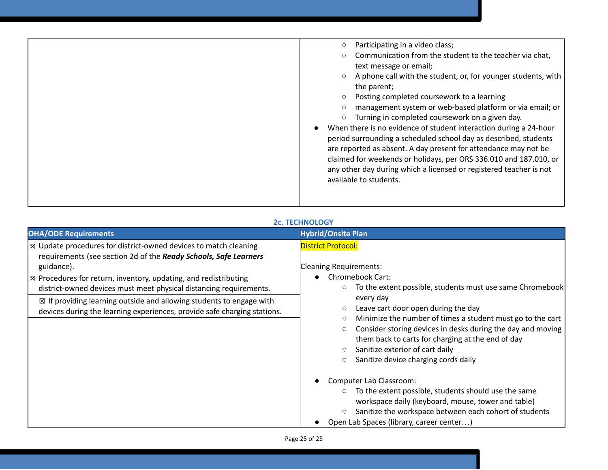|  | Participating in a video class;<br>Communication from the student to the teacher via chat,<br>text message or email;<br>A phone call with the student, or, for younger students, with<br>the parent;<br>Posting completed coursework to a learning<br>management system or web-based platform or via email; or<br>Turning in completed coursework on a given day.<br>When there is no evidence of student interaction during a 24-hour<br>period surrounding a scheduled school day as described, students<br>are reported as absent. A day present for attendance may not be<br>claimed for weekends or holidays, per ORS 336.010 and 187.010, or<br>any other day during which a licensed or registered teacher is not<br>available to students. |
|--|----------------------------------------------------------------------------------------------------------------------------------------------------------------------------------------------------------------------------------------------------------------------------------------------------------------------------------------------------------------------------------------------------------------------------------------------------------------------------------------------------------------------------------------------------------------------------------------------------------------------------------------------------------------------------------------------------------------------------------------------------|
|--|----------------------------------------------------------------------------------------------------------------------------------------------------------------------------------------------------------------------------------------------------------------------------------------------------------------------------------------------------------------------------------------------------------------------------------------------------------------------------------------------------------------------------------------------------------------------------------------------------------------------------------------------------------------------------------------------------------------------------------------------------|

### **2c. TECHNOLOGY**

| <b>OHA/ODE Requirements</b>                                                                                                                                                                                                                                                                                                                                                                                                                                                      | <b>Hybrid/Onsite Plan</b>                                                                                                                                                                                                                                                                                                                                                                                                                                                                                                                                                        |
|----------------------------------------------------------------------------------------------------------------------------------------------------------------------------------------------------------------------------------------------------------------------------------------------------------------------------------------------------------------------------------------------------------------------------------------------------------------------------------|----------------------------------------------------------------------------------------------------------------------------------------------------------------------------------------------------------------------------------------------------------------------------------------------------------------------------------------------------------------------------------------------------------------------------------------------------------------------------------------------------------------------------------------------------------------------------------|
| $\mathbb{Z}$ Update procedures for district-owned devices to match cleaning<br>requirements (see section 2d of the Ready Schools, Safe Learners<br>guidance).<br>$\mathbb{Z}$ Procedures for return, inventory, updating, and redistributing<br>district-owned devices must meet physical distancing requirements.<br>$\boxtimes$ If providing learning outside and allowing students to engage with<br>devices during the learning experiences, provide safe charging stations. | <b>District Protocol:</b><br><b>Cleaning Requirements:</b><br>Chromebook Cart:<br>To the extent possible, students must use same Chromebook<br>every day<br>Leave cart door open during the day<br>Minimize the number of times a student must go to the cart<br>Consider storing devices in desks during the day and moving<br>them back to carts for charging at the end of day<br>Sanitize exterior of cart daily<br>$\circ$<br>Sanitize device charging cords daily<br>$\circ$<br>Computer Lab Classroom:<br>To the extent possible, students should use the same<br>$\circ$ |
|                                                                                                                                                                                                                                                                                                                                                                                                                                                                                  | workspace daily (keyboard, mouse, tower and table)                                                                                                                                                                                                                                                                                                                                                                                                                                                                                                                               |
|                                                                                                                                                                                                                                                                                                                                                                                                                                                                                  | Sanitize the workspace between each cohort of students                                                                                                                                                                                                                                                                                                                                                                                                                                                                                                                           |
|                                                                                                                                                                                                                                                                                                                                                                                                                                                                                  | Open Lab Spaces (library, career center)                                                                                                                                                                                                                                                                                                                                                                                                                                                                                                                                         |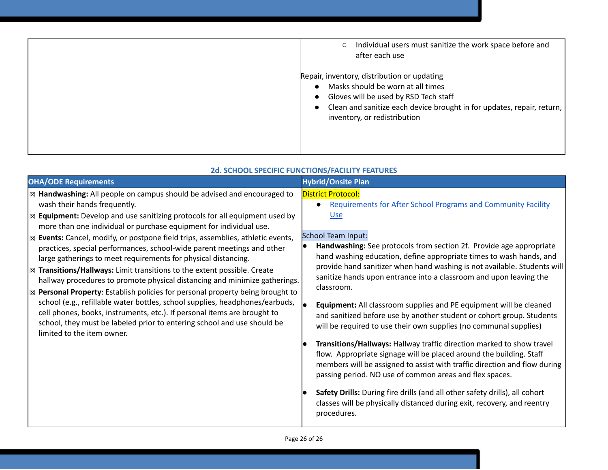| Individual users must sanitize the work space before and<br>$\circ$<br>after each use<br>Repair, inventory, distribution or updating                                                   |
|----------------------------------------------------------------------------------------------------------------------------------------------------------------------------------------|
| Masks should be worn at all times<br>Gloves will be used by RSD Tech staff<br>Clean and sanitize each device brought in for updates, repair, return,  <br>inventory, or redistribution |

| <b>OHA/ODE Requirements</b>                                                                                                                                                                                                                                                                                                                                                                                                                                                                                                                                                                                                                                                                                                                                                                                                                                                                                                                                                                                                     | <b>Hybrid/Onsite Plan</b>                                                                                                                                                                                                                                                                                                                                                                                                                                                                                                                                                                                                                                                                                                                                                                                                                                                                                                                                                                                                                                                                                                                              |
|---------------------------------------------------------------------------------------------------------------------------------------------------------------------------------------------------------------------------------------------------------------------------------------------------------------------------------------------------------------------------------------------------------------------------------------------------------------------------------------------------------------------------------------------------------------------------------------------------------------------------------------------------------------------------------------------------------------------------------------------------------------------------------------------------------------------------------------------------------------------------------------------------------------------------------------------------------------------------------------------------------------------------------|--------------------------------------------------------------------------------------------------------------------------------------------------------------------------------------------------------------------------------------------------------------------------------------------------------------------------------------------------------------------------------------------------------------------------------------------------------------------------------------------------------------------------------------------------------------------------------------------------------------------------------------------------------------------------------------------------------------------------------------------------------------------------------------------------------------------------------------------------------------------------------------------------------------------------------------------------------------------------------------------------------------------------------------------------------------------------------------------------------------------------------------------------------|
| ⊠ Handwashing: All people on campus should be advised and encouraged to<br>wash their hands frequently.<br><b>Equipment:</b> Develop and use sanitizing protocols for all equipment used by<br>冈<br>more than one individual or purchase equipment for individual use.<br>Events: Cancel, modify, or postpone field trips, assemblies, athletic events,<br>冈<br>practices, special performances, school-wide parent meetings and other<br>large gatherings to meet requirements for physical distancing.<br>Transitions/Hallways: Limit transitions to the extent possible. Create<br>冈<br>hallway procedures to promote physical distancing and minimize gatherings.<br>Personal Property: Establish policies for personal property being brought to<br>冈<br>school (e.g., refillable water bottles, school supplies, headphones/earbuds,<br>cell phones, books, instruments, etc.). If personal items are brought to<br>school, they must be labeled prior to entering school and use should be<br>limited to the item owner. | <b>District Protocol:</b><br><b>Requirements for After School Programs and Community Facility</b><br><b>Use</b><br><b>School Team Input:</b><br>Handwashing: See protocols from section 2f. Provide age appropriate<br>hand washing education, define appropriate times to wash hands, and<br>provide hand sanitizer when hand washing is not available. Students will<br>sanitize hands upon entrance into a classroom and upon leaving the<br>classroom.<br><b>Equipment:</b> All classroom supplies and PE equipment will be cleaned<br>and sanitized before use by another student or cohort group. Students<br>will be required to use their own supplies (no communal supplies)<br>Transitions/Hallways: Hallway traffic direction marked to show travel<br>flow. Appropriate signage will be placed around the building. Staff<br>members will be assigned to assist with traffic direction and flow during<br>passing period. NO use of common areas and flex spaces.<br>Safety Drills: During fire drills (and all other safety drills), all cohort<br>classes will be physically distanced during exit, recovery, and reentry<br>procedures. |

### **2d. SCHOOL SPECIFIC FUNCTIONS/FACILITY FEATURES**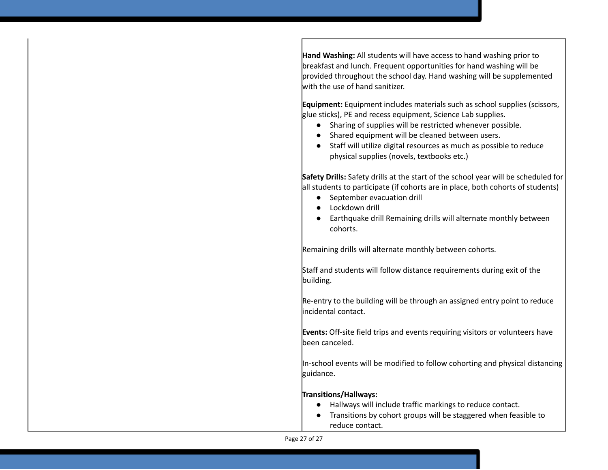**Hand Washing:** All students will have access to hand washing prior to breakfast and lunch. Frequent opportunities for hand washing will be provided throughout the school day. Hand washing will be supplemented with the use of hand sanitizer.

**Equipment:** Equipment includes materials such as school supplies (scissors, glue sticks), PE and recess equipment, Science Lab supplies.

- Sharing of supplies will be restricted whenever possible.
- Shared equipment will be cleaned between users.
- Staff will utilize digital resources as much as possible to reduce physical supplies (novels, textbooks etc.)

**Safety Drills:** Safety drills at the start of the school year will be scheduled for all students to participate (if cohorts are in place, both cohorts of students)

- September evacuation drill
- Lockdown drill
- Earthquake drill Remaining drills will alternate monthly between cohorts.

Remaining drills will alternate monthly between cohorts.

Staff and students will follow distance requirements during exit of the building.

Re-entry to the building will be through an assigned entry point to reduce incidental contact.

**Events:** Off-site field trips and events requiring visitors or volunteers have been canceled.

In-school events will be modified to follow cohorting and physical distancing guidance.

### **Transitions/Hallways:**

- Hallways will include traffic markings to reduce contact.
- Transitions by cohort groups will be staggered when feasible to reduce contact.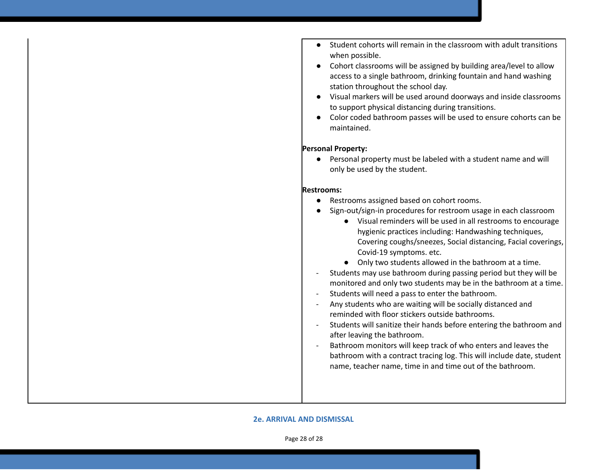- Student cohorts will remain in the classroom with adult transitions when possible.
- Cohort classrooms will be assigned by building area/level to allow access to a single bathroom, drinking fountain and hand washing station throughout the school day.
- Visual markers will be used around doorways and inside classrooms to support physical distancing during transitions.
- Color coded bathroom passes will be used to ensure cohorts can be maintained.

### **Personal Property:**

● Personal property must be labeled with a student name and will only be used by the student.

### **Restrooms:**

- Restrooms assigned based on cohort rooms.
- Sign-out/sign-in procedures for restroom usage in each classroom
	- Visual reminders will be used in all restrooms to encourage hygienic practices including: Handwashing techniques, Covering coughs/sneezes, Social distancing, Facial coverings, Covid-19 symptoms. etc.
	- Only two students allowed in the bathroom at a time.
- Students may use bathroom during passing period but they will be monitored and only two students may be in the bathroom at a time.
- Students will need a pass to enter the bathroom.
- Any students who are waiting will be socially distanced and reminded with floor stickers outside bathrooms.
- Students will sanitize their hands before entering the bathroom and after leaving the bathroom.
- Bathroom monitors will keep track of who enters and leaves the bathroom with a contract tracing log. This will include date, student name, teacher name, time in and time out of the bathroom.

### **2e. ARRIVAL AND DISMISSAL**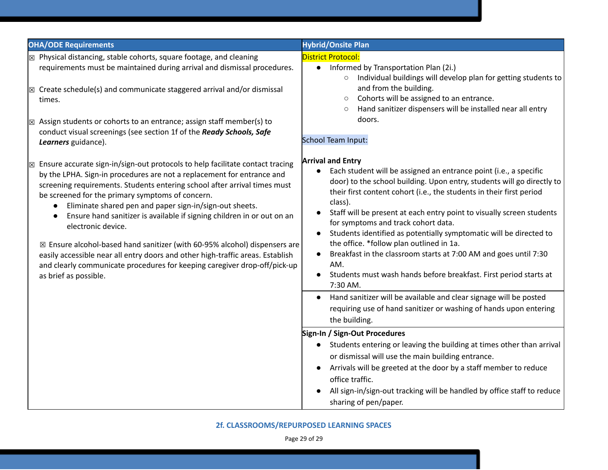| <b>OHA/ODE Requirements</b>                                                                                                                                                                                                                                                                                                                                                                                                                                                                                                                                                                                                                                                                                                                     | <b>Hybrid/Onsite Plan</b>                                                                                                                                                                                                                                                                                                                                                                                                                                                                                                                                                                                                                                                                                                                                                                                                                                                                                                                                                                                                                                                                                                                                                                                            |
|-------------------------------------------------------------------------------------------------------------------------------------------------------------------------------------------------------------------------------------------------------------------------------------------------------------------------------------------------------------------------------------------------------------------------------------------------------------------------------------------------------------------------------------------------------------------------------------------------------------------------------------------------------------------------------------------------------------------------------------------------|----------------------------------------------------------------------------------------------------------------------------------------------------------------------------------------------------------------------------------------------------------------------------------------------------------------------------------------------------------------------------------------------------------------------------------------------------------------------------------------------------------------------------------------------------------------------------------------------------------------------------------------------------------------------------------------------------------------------------------------------------------------------------------------------------------------------------------------------------------------------------------------------------------------------------------------------------------------------------------------------------------------------------------------------------------------------------------------------------------------------------------------------------------------------------------------------------------------------|
| $\mathbb E$ Physical distancing, stable cohorts, square footage, and cleaning<br>requirements must be maintained during arrival and dismissal procedures.<br>$\boxtimes$ Create schedule(s) and communicate staggered arrival and/or dismissal<br>times.<br>$\boxtimes$ Assign students or cohorts to an entrance; assign staff member(s) to<br>conduct visual screenings (see section 1f of the Ready Schools, Safe<br>Learners guidance).                                                                                                                                                                                                                                                                                                     | <b>District Protocol:</b><br>Informed by Transportation Plan (2i.)<br>$\bullet$<br>Individual buildings will develop plan for getting students to<br>$\circ$<br>and from the building.<br>Cohorts will be assigned to an entrance.<br>$\circ$<br>Hand sanitizer dispensers will be installed near all entry<br>$\circ$<br>doors.<br>School Team Input:                                                                                                                                                                                                                                                                                                                                                                                                                                                                                                                                                                                                                                                                                                                                                                                                                                                               |
| $\boxtimes$ Ensure accurate sign-in/sign-out protocols to help facilitate contact tracing<br>by the LPHA. Sign-in procedures are not a replacement for entrance and<br>screening requirements. Students entering school after arrival times must<br>be screened for the primary symptoms of concern.<br>Eliminate shared pen and paper sign-in/sign-out sheets.<br>Ensure hand sanitizer is available if signing children in or out on an<br>electronic device.<br>$\boxtimes$ Ensure alcohol-based hand sanitizer (with 60-95% alcohol) dispensers are<br>easily accessible near all entry doors and other high-traffic areas. Establish<br>and clearly communicate procedures for keeping caregiver drop-off/pick-up<br>as brief as possible. | <b>Arrival and Entry</b><br>Each student will be assigned an entrance point (i.e., a specific<br>$\bullet$<br>door) to the school building. Upon entry, students will go directly to<br>their first content cohort (i.e., the students in their first period<br>class).<br>Staff will be present at each entry point to visually screen students<br>for symptoms and track cohort data.<br>Students identified as potentially symptomatic will be directed to<br>the office. *follow plan outlined in 1a.<br>Breakfast in the classroom starts at 7:00 AM and goes until 7:30<br>AM.<br>Students must wash hands before breakfast. First period starts at<br>7:30 AM.<br>Hand sanitizer will be available and clear signage will be posted<br>$\bullet$<br>requiring use of hand sanitizer or washing of hands upon entering<br>the building.<br>Sign-In / Sign-Out Procedures<br>Students entering or leaving the building at times other than arrival<br>$\bullet$<br>or dismissal will use the main building entrance.<br>Arrivals will be greeted at the door by a staff member to reduce<br>office traffic.<br>All sign-in/sign-out tracking will be handled by office staff to reduce<br>sharing of pen/paper. |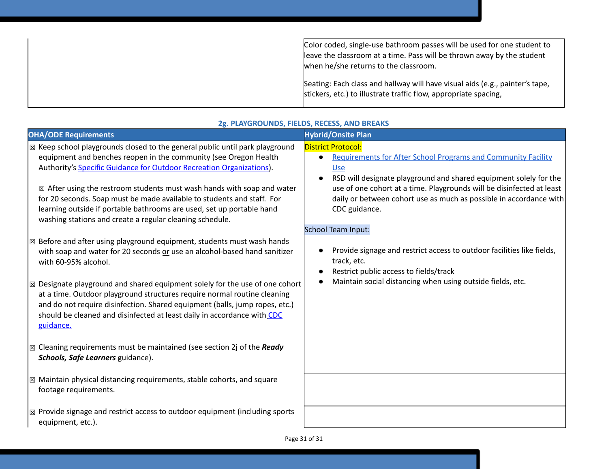Color coded, single-use bathroom passes will be used for one student to leave the classroom at a time. Pass will be thrown away by the student when he/she returns to the classroom. Seating: Each class and hallway will have visual aids (e.g., painter's tape, stickers, etc.) to illustrate traffic flow, appropriate spacing,

| <b>OHA/ODE Requirements</b>                                                                                                                                                                                                                                                                                                                                                                                                                                                                                                            | <b>Hybrid/Onsite Plan</b>                                                                                                                                                                                                                                                                                                                                  |
|----------------------------------------------------------------------------------------------------------------------------------------------------------------------------------------------------------------------------------------------------------------------------------------------------------------------------------------------------------------------------------------------------------------------------------------------------------------------------------------------------------------------------------------|------------------------------------------------------------------------------------------------------------------------------------------------------------------------------------------------------------------------------------------------------------------------------------------------------------------------------------------------------------|
| $\boxtimes$ Keep school playgrounds closed to the general public until park playground<br>equipment and benches reopen in the community (see Oregon Health<br>Authority's Specific Guidance for Outdoor Recreation Organizations).<br>$\boxtimes$ After using the restroom students must wash hands with soap and water<br>for 20 seconds. Soap must be made available to students and staff. For<br>learning outside if portable bathrooms are used, set up portable hand<br>washing stations and create a regular cleaning schedule. | <b>District Protocol:</b><br><b>Requirements for After School Programs and Community Facility</b><br>Use<br>RSD will designate playground and shared equipment solely for the<br>$\bullet$<br>use of one cohort at a time. Playgrounds will be disinfected at least<br>daily or between cohort use as much as possible in accordance with<br>CDC guidance. |
| $\boxtimes$ Before and after using playground equipment, students must wash hands<br>with soap and water for 20 seconds or use an alcohol-based hand sanitizer<br>with 60-95% alcohol.<br>$\boxtimes$ Designate playground and shared equipment solely for the use of one cohort<br>at a time. Outdoor playground structures require normal routine cleaning<br>and do not require disinfection. Shared equipment (balls, jump ropes, etc.)<br>should be cleaned and disinfected at least daily in accordance with CDC<br>guidance.    | <b>School Team Input:</b><br>Provide signage and restrict access to outdoor facilities like fields,<br>track, etc.<br>Restrict public access to fields/track<br>$\bullet$<br>Maintain social distancing when using outside fields, etc.                                                                                                                    |
| $\boxtimes$ Cleaning requirements must be maintained (see section 2j of the Ready<br>Schools, Safe Learners guidance).                                                                                                                                                                                                                                                                                                                                                                                                                 |                                                                                                                                                                                                                                                                                                                                                            |
| $\mathbb{Z}$ Maintain physical distancing requirements, stable cohorts, and square<br>footage requirements.                                                                                                                                                                                                                                                                                                                                                                                                                            |                                                                                                                                                                                                                                                                                                                                                            |
| $\sqrt{\mathbb{Z}}$ Provide signage and restrict access to outdoor equipment (including sports<br>equipment, etc.).                                                                                                                                                                                                                                                                                                                                                                                                                    | $D_{200}$ 21 of 21                                                                                                                                                                                                                                                                                                                                         |

### **2g. PLAYGROUNDS, FIELDS, RECESS, AND BREAKS**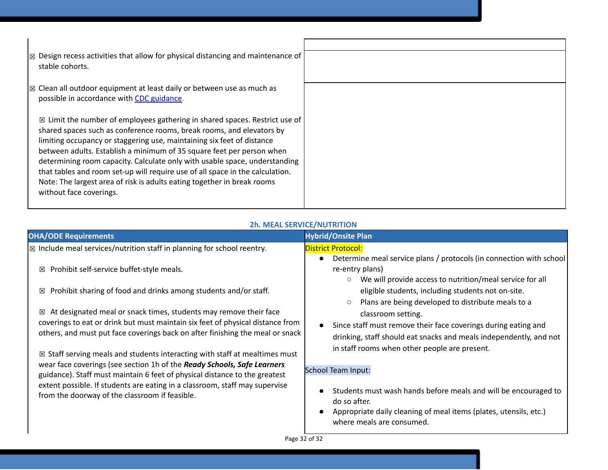| $\boxtimes$ Design recess activities that allow for physical distancing and maintenance of<br>stable cohorts.                                                                                                                                                                                                                                                                                                                                                                                                                                                                          |  |
|----------------------------------------------------------------------------------------------------------------------------------------------------------------------------------------------------------------------------------------------------------------------------------------------------------------------------------------------------------------------------------------------------------------------------------------------------------------------------------------------------------------------------------------------------------------------------------------|--|
| $ \mathbb{Z} $ Clean all outdoor equipment at least daily or between use as much as<br>possible in accordance with CDC guidance.                                                                                                                                                                                                                                                                                                                                                                                                                                                       |  |
| $\boxtimes$ Limit the number of employees gathering in shared spaces. Restrict use of<br>shared spaces such as conference rooms, break rooms, and elevators by<br>limiting occupancy or staggering use, maintaining six feet of distance<br>between adults. Establish a minimum of 35 square feet per person when<br>determining room capacity. Calculate only with usable space, understanding<br>that tables and room set-up will require use of all space in the calculation.<br>Note: The largest area of risk is adults eating together in break rooms<br>without face coverings. |  |

### **2h. MEAL SERVICE/NUTRITION**

| <b>OHA/ODE Requirements</b>                                                                                                                                                                                                                                                                                                        | <b>Hybrid/Onsite Plan</b>                                                                                                                                                                                                                                                    |  |
|------------------------------------------------------------------------------------------------------------------------------------------------------------------------------------------------------------------------------------------------------------------------------------------------------------------------------------|------------------------------------------------------------------------------------------------------------------------------------------------------------------------------------------------------------------------------------------------------------------------------|--|
| $\boxtimes$ Include meal services/nutrition staff in planning for school reentry.                                                                                                                                                                                                                                                  | <b>District Protocol:</b>                                                                                                                                                                                                                                                    |  |
| Prohibit self-service buffet-style meals.<br>⊠                                                                                                                                                                                                                                                                                     | Determine meal service plans / protocols (in connection with school<br>$\bullet$<br>re-entry plans)<br>We will provide access to nutrition/meal service for all<br>$\circ$                                                                                                   |  |
| Prohibit sharing of food and drinks among students and/or staff.<br>⊠                                                                                                                                                                                                                                                              | eligible students, including students not on-site.                                                                                                                                                                                                                           |  |
| At designated meal or snack times, students may remove their face<br>⊠<br>coverings to eat or drink but must maintain six feet of physical distance from<br>others, and must put face coverings back on after finishing the meal or snack<br>$\boxtimes$ Staff serving meals and students interacting with staff at mealtimes must | Plans are being developed to distribute meals to a<br>$\circ$<br>classroom setting.<br>Since staff must remove their face coverings during eating and<br>drinking, staff should eat snacks and meals independently, and not<br>in staff rooms when other people are present. |  |
| wear face coverings (see section 1h of the Ready Schools, Safe Learners<br>guidance). Staff must maintain 6 feet of physical distance to the greatest<br>extent possible. If students are eating in a classroom, staff may supervise<br>from the doorway of the classroom if feasible.                                             | <b>School Team Input:</b><br>Students must wash hands before meals and will be encouraged to<br>do so after.<br>Appropriate daily cleaning of meal items (plates, utensils, etc.)<br>$\bullet$<br>where meals are consumed.                                                  |  |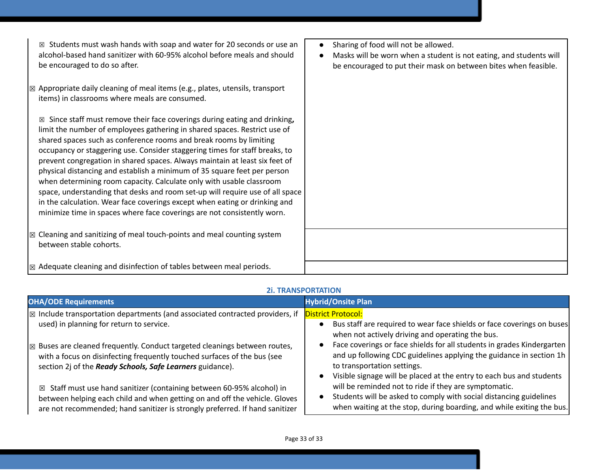| Students must wash hands with soap and water for 20 seconds or use an<br>⊠<br>alcohol-based hand sanitizer with 60-95% alcohol before meals and should<br>be encouraged to do so after.                                                                                                                                                                                                                                                                                                                                                                                                                                                                                                                                                                                                      | Sharing of food will not be allowed.<br>$\bullet$<br>Masks will be worn when a student is not eating, and students will<br>be encouraged to put their mask on between bites when feasible. |
|----------------------------------------------------------------------------------------------------------------------------------------------------------------------------------------------------------------------------------------------------------------------------------------------------------------------------------------------------------------------------------------------------------------------------------------------------------------------------------------------------------------------------------------------------------------------------------------------------------------------------------------------------------------------------------------------------------------------------------------------------------------------------------------------|--------------------------------------------------------------------------------------------------------------------------------------------------------------------------------------------|
| $\mathbb{Z}$ Appropriate daily cleaning of meal items (e.g., plates, utensils, transport<br>items) in classrooms where meals are consumed.                                                                                                                                                                                                                                                                                                                                                                                                                                                                                                                                                                                                                                                   |                                                                                                                                                                                            |
| Since staff must remove their face coverings during eating and drinking,<br>⊠<br>limit the number of employees gathering in shared spaces. Restrict use of<br>shared spaces such as conference rooms and break rooms by limiting<br>occupancy or staggering use. Consider staggering times for staff breaks, to<br>prevent congregation in shared spaces. Always maintain at least six feet of<br>physical distancing and establish a minimum of 35 square feet per person<br>when determining room capacity. Calculate only with usable classroom<br>space, understanding that desks and room set-up will require use of all space<br>in the calculation. Wear face coverings except when eating or drinking and<br>minimize time in spaces where face coverings are not consistently worn. |                                                                                                                                                                                            |
| $\mathbb{Z}$ Cleaning and sanitizing of meal touch-points and meal counting system<br>between stable cohorts.                                                                                                                                                                                                                                                                                                                                                                                                                                                                                                                                                                                                                                                                                |                                                                                                                                                                                            |
| $\mathbb{Z}$ Adequate cleaning and disinfection of tables between meal periods.                                                                                                                                                                                                                                                                                                                                                                                                                                                                                                                                                                                                                                                                                                              |                                                                                                                                                                                            |

### **2i. TRANSPORTATION**

| <b>OHA/ODE Requirements</b>                                                                                                                                                                                                                    | <b>Hybrid/Onsite Plan</b>                                                                                                                                                                                                                                                                                                          |
|------------------------------------------------------------------------------------------------------------------------------------------------------------------------------------------------------------------------------------------------|------------------------------------------------------------------------------------------------------------------------------------------------------------------------------------------------------------------------------------------------------------------------------------------------------------------------------------|
| $\sqrt{\mathbb{Z}}$ Include transportation departments (and associated contracted providers, if<br>used) in planning for return to service.                                                                                                    | District Protocol:<br>Bus staff are required to wear face shields or face coverings on buses<br>$\bullet$                                                                                                                                                                                                                          |
| $\mathbb{Z}$ Buses are cleaned frequently. Conduct targeted cleanings between routes,<br>with a focus on disinfecting frequently touched surfaces of the bus (see<br>section 2j of the Ready Schools, Safe Learners guidance).                 | when not actively driving and operating the bus.<br>Face coverings or face shields for all students in grades Kindergarten<br>$\bullet$<br>and up following CDC guidelines applying the guidance in section 1h<br>to transportation settings.<br>Visible signage will be placed at the entry to each bus and students<br>$\bullet$ |
| $\boxtimes$ Staff must use hand sanitizer (containing between 60-95% alcohol) in<br>between helping each child and when getting on and off the vehicle. Gloves<br>are not recommended; hand sanitizer is strongly preferred. If hand sanitizer | will be reminded not to ride if they are symptomatic.<br>Students will be asked to comply with social distancing guidelines<br>$\bullet$<br>when waiting at the stop, during boarding, and while exiting the bus.                                                                                                                  |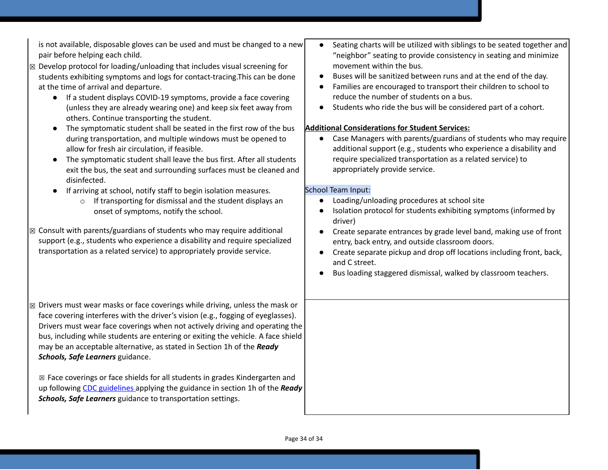| is not available, disposable gloves can be used and must be changed to a new<br>pair before helping each child.<br>$\mathbb B$ Develop protocol for loading/unloading that includes visual screening for<br>students exhibiting symptoms and logs for contact-tracing. This can be done<br>at the time of arrival and departure.<br>If a student displays COVID-19 symptoms, provide a face covering<br>$\bullet$<br>(unless they are already wearing one) and keep six feet away from<br>others. Continue transporting the student.<br>The symptomatic student shall be seated in the first row of the bus<br>during transportation, and multiple windows must be opened to<br>allow for fresh air circulation, if feasible.<br>The symptomatic student shall leave the bus first. After all students<br>$\bullet$<br>exit the bus, the seat and surrounding surfaces must be cleaned and<br>disinfected.<br>If arriving at school, notify staff to begin isolation measures.<br>If transporting for dismissal and the student displays an<br>$\circ$<br>onset of symptoms, notify the school.<br>$\boxtimes$ Consult with parents/guardians of students who may require additional | Seating charts will be utilized with siblings to be seated together and<br>$\bullet$<br>"neighbor" seating to provide consistency in seating and minimize<br>movement within the bus.<br>Buses will be sanitized between runs and at the end of the day.<br>$\bullet$<br>Families are encouraged to transport their children to school to<br>reduce the number of students on a bus.<br>Students who ride the bus will be considered part of a cohort.<br><b>Additional Considerations for Student Services:</b><br>Case Managers with parents/guardians of students who may require<br>$\bullet$<br>additional support (e.g., students who experience a disability and<br>require specialized transportation as a related service) to<br>appropriately provide service.<br>School Team Input:<br>Loading/unloading procedures at school site<br>$\bullet$<br>Isolation protocol for students exhibiting symptoms (informed by<br>driver) |
|--------------------------------------------------------------------------------------------------------------------------------------------------------------------------------------------------------------------------------------------------------------------------------------------------------------------------------------------------------------------------------------------------------------------------------------------------------------------------------------------------------------------------------------------------------------------------------------------------------------------------------------------------------------------------------------------------------------------------------------------------------------------------------------------------------------------------------------------------------------------------------------------------------------------------------------------------------------------------------------------------------------------------------------------------------------------------------------------------------------------------------------------------------------------------------------|-------------------------------------------------------------------------------------------------------------------------------------------------------------------------------------------------------------------------------------------------------------------------------------------------------------------------------------------------------------------------------------------------------------------------------------------------------------------------------------------------------------------------------------------------------------------------------------------------------------------------------------------------------------------------------------------------------------------------------------------------------------------------------------------------------------------------------------------------------------------------------------------------------------------------------------------|
| support (e.g., students who experience a disability and require specialized<br>transportation as a related service) to appropriately provide service.                                                                                                                                                                                                                                                                                                                                                                                                                                                                                                                                                                                                                                                                                                                                                                                                                                                                                                                                                                                                                                | Create separate entrances by grade level band, making use of front<br>$\bullet$<br>entry, back entry, and outside classroom doors.<br>Create separate pickup and drop off locations including front, back,<br>and C street.<br>Bus loading staggered dismissal, walked by classroom teachers.                                                                                                                                                                                                                                                                                                                                                                                                                                                                                                                                                                                                                                             |
| $\boxtimes$ Drivers must wear masks or face coverings while driving, unless the mask or<br>face covering interferes with the driver's vision (e.g., fogging of eyeglasses).<br>Drivers must wear face coverings when not actively driving and operating the<br>bus, including while students are entering or exiting the vehicle. A face shield<br>may be an acceptable alternative, as stated in Section 1h of the Ready<br>Schools, Safe Learners guidance.<br>⊠ Face coverings or face shields for all students in grades Kindergarten and<br>up following CDC guidelines applying the guidance in section 1h of the Ready<br>Schools, Safe Learners guidance to transportation settings.                                                                                                                                                                                                                                                                                                                                                                                                                                                                                         |                                                                                                                                                                                                                                                                                                                                                                                                                                                                                                                                                                                                                                                                                                                                                                                                                                                                                                                                           |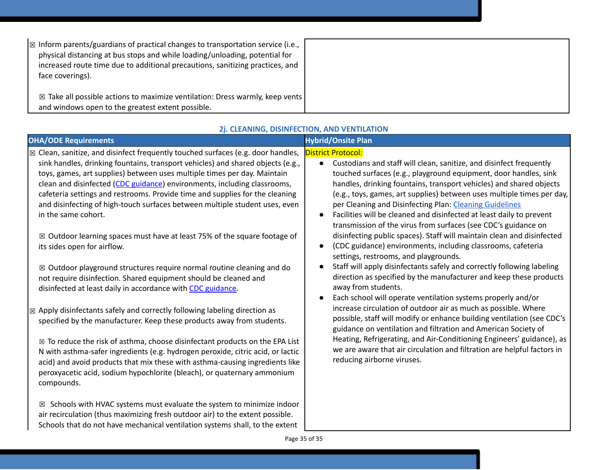| $\mathbb{R}$ Inform parents/guardians of practical changes to transportation service (i.e.,<br>physical distancing at bus stops and while loading/unloading, potential for<br>increased route time due to additional precautions, sanitizing practices, and<br>face coverings). |  |
|---------------------------------------------------------------------------------------------------------------------------------------------------------------------------------------------------------------------------------------------------------------------------------|--|
| $\boxtimes$ Take all possible actions to maximize ventilation: Dress warmly, keep vents<br>and windows open to the greatest extent possible.                                                                                                                                    |  |

| <b>OHA/ODE Requirements</b>                                                                        | <b>Hybrid/Onsite Plan</b>                                                                                                                |
|----------------------------------------------------------------------------------------------------|------------------------------------------------------------------------------------------------------------------------------------------|
| $\vert$ $\boxtimes$ Clean, sanitize, and disinfect frequently touched surfaces (e.g. door handles, | <b>District Protocol:</b>                                                                                                                |
| sink handles, drinking fountains, transport vehicles) and shared objects (e.g.,                    | Custodians and staff will clean, sanitize, and disinfect frequently<br>$\bullet$                                                         |
| toys, games, art supplies) between uses multiple times per day. Maintain                           | touched surfaces (e.g., playground equipment, door handles, sink                                                                         |
| clean and disinfected (CDC guidance) environments, including classrooms,                           | handles, drinking fountains, transport vehicles) and shared objects                                                                      |
| cafeteria settings and restrooms. Provide time and supplies for the cleaning                       | (e.g., toys, games, art supplies) between uses multiple times per day,                                                                   |
| and disinfecting of high-touch surfaces between multiple student uses, even                        | per Cleaning and Disinfecting Plan: Cleaning Guidelines                                                                                  |
| in the same cohort.                                                                                | Facilities will be cleaned and disinfected at least daily to prevent<br>$\bullet$                                                        |
|                                                                                                    | transmission of the virus from surfaces (see CDC's guidance on                                                                           |
| $\boxtimes$ Outdoor learning spaces must have at least 75% of the square footage of                | disinfecting public spaces). Staff will maintain clean and disinfected                                                                   |
| its sides open for airflow.                                                                        | (CDC guidance) environments, including classrooms, cafeteria<br>$\bullet$                                                                |
|                                                                                                    | settings, restrooms, and playgrounds.                                                                                                    |
| $\boxtimes$ Outdoor playground structures require normal routine cleaning and do                   | Staff will apply disinfectants safely and correctly following labeling<br>$\bullet$                                                      |
| not require disinfection. Shared equipment should be cleaned and                                   | direction as specified by the manufacturer and keep these products                                                                       |
| disinfected at least daily in accordance with CDC guidance.                                        | away from students.                                                                                                                      |
|                                                                                                    | Each school will operate ventilation systems properly and/or<br>$\bullet$                                                                |
| Apply disinfectants safely and correctly following labeling direction as<br>$\boxtimes$            | increase circulation of outdoor air as much as possible. Where                                                                           |
| specified by the manufacturer. Keep these products away from students.                             | possible, staff will modify or enhance building ventilation (see CDC's<br>guidance on ventilation and filtration and American Society of |
|                                                                                                    | Heating, Refrigerating, and Air-Conditioning Engineers' guidance), as                                                                    |
| $\boxtimes$ To reduce the risk of asthma, choose disinfectant products on the EPA List             | we are aware that air circulation and filtration are helpful factors in                                                                  |
| N with asthma-safer ingredients (e.g. hydrogen peroxide, citric acid, or lactic                    | reducing airborne viruses.                                                                                                               |
| acid) and avoid products that mix these with asthma-causing ingredients like                       |                                                                                                                                          |
| peroxyacetic acid, sodium hypochlorite (bleach), or quaternary ammonium                            |                                                                                                                                          |
| compounds.                                                                                         |                                                                                                                                          |
| Schools with HVAC systems must evaluate the system to minimize indoor<br>⊠                         |                                                                                                                                          |
| air recirculation (thus maximizing fresh outdoor air) to the extent possible.                      |                                                                                                                                          |
| Schools that do not have mechanical ventilation systems shall, to the extent                       |                                                                                                                                          |

### **2j. CLEANING, DISINFECTION, AND VENTILATION**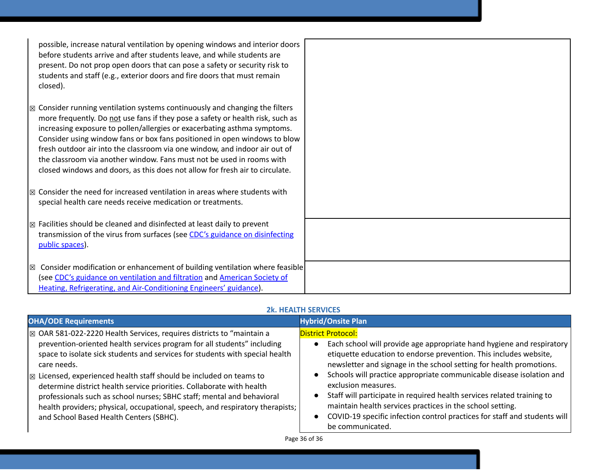| possible, increase natural ventilation by opening windows and interior doors<br>before students arrive and after students leave, and while students are<br>present. Do not prop open doors that can pose a safety or security risk to<br>students and staff (e.g., exterior doors and fire doors that must remain<br>closed).                                                                                                                                                                                                                                             |  |
|---------------------------------------------------------------------------------------------------------------------------------------------------------------------------------------------------------------------------------------------------------------------------------------------------------------------------------------------------------------------------------------------------------------------------------------------------------------------------------------------------------------------------------------------------------------------------|--|
| $\mathbb{Z}$ Consider running ventilation systems continuously and changing the filters<br>more frequently. Do not use fans if they pose a safety or health risk, such as<br>increasing exposure to pollen/allergies or exacerbating asthma symptoms.<br>Consider using window fans or box fans positioned in open windows to blow<br>fresh outdoor air into the classroom via one window, and indoor air out of<br>the classroom via another window. Fans must not be used in rooms with<br>closed windows and doors, as this does not allow for fresh air to circulate. |  |
| $\boxtimes$ Consider the need for increased ventilation in areas where students with<br>special health care needs receive medication or treatments.                                                                                                                                                                                                                                                                                                                                                                                                                       |  |
| $\boxtimes$ Facilities should be cleaned and disinfected at least daily to prevent<br>transmission of the virus from surfaces (see CDC's guidance on disinfecting<br>public spaces).                                                                                                                                                                                                                                                                                                                                                                                      |  |
| $\vert$ $\boxtimes$ Consider modification or enhancement of building ventilation where feasible<br>(see CDC's guidance on ventilation and filtration and American Society of<br>Heating, Refrigerating, and Air-Conditioning Engineers' guidance).                                                                                                                                                                                                                                                                                                                        |  |

### **2k. HEALTH SERVICES**

| <b>OHA/ODE Requirements</b>                                                                                                                                                                                                                                                                                                                                                                                                                                                                                                                                                                                                        | <b>Hybrid/Onsite Plan</b>                                                                                                                                                                                                                                                                                                                                                                                                                                                                                                                                                             |
|------------------------------------------------------------------------------------------------------------------------------------------------------------------------------------------------------------------------------------------------------------------------------------------------------------------------------------------------------------------------------------------------------------------------------------------------------------------------------------------------------------------------------------------------------------------------------------------------------------------------------------|---------------------------------------------------------------------------------------------------------------------------------------------------------------------------------------------------------------------------------------------------------------------------------------------------------------------------------------------------------------------------------------------------------------------------------------------------------------------------------------------------------------------------------------------------------------------------------------|
| $\vert$ $\boxtimes$ OAR 581-022-2220 Health Services, requires districts to "maintain a<br>prevention-oriented health services program for all students" including<br>space to isolate sick students and services for students with special health<br>care needs.<br>$\mathbb{R}$ Licensed, experienced health staff should be included on teams to<br>determine district health service priorities. Collaborate with health<br>professionals such as school nurses; SBHC staff; mental and behavioral<br>health providers; physical, occupational, speech, and respiratory therapists;<br>and School Based Health Centers (SBHC). | <b>District Protocol:</b><br>Each school will provide age appropriate hand hygiene and respiratory<br>etiquette education to endorse prevention. This includes website,<br>newsletter and signage in the school setting for health promotions.<br>Schools will practice appropriate communicable disease isolation and<br>exclusion measures.<br>Staff will participate in required health services related training to<br>maintain health services practices in the school setting.<br>COVID-19 specific infection control practices for staff and students will<br>be communicated. |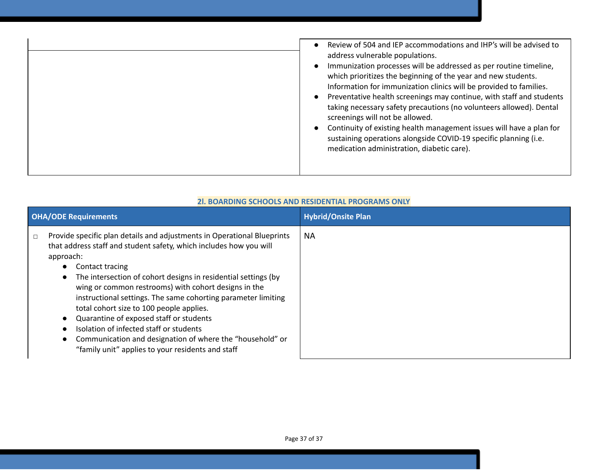| <b>OHA/ODE Requirements</b>                                                                                                                                                                                                                                                                                                                                                                                                                                                                                                                                                                                                                                                   | <b>Hybrid/Onsite Plan</b> |
|-------------------------------------------------------------------------------------------------------------------------------------------------------------------------------------------------------------------------------------------------------------------------------------------------------------------------------------------------------------------------------------------------------------------------------------------------------------------------------------------------------------------------------------------------------------------------------------------------------------------------------------------------------------------------------|---------------------------|
| Provide specific plan details and adjustments in Operational Blueprints<br>$\Box$<br>that address staff and student safety, which includes how you will<br>approach:<br>Contact tracing<br>$\bullet$<br>The intersection of cohort designs in residential settings (by<br>$\bullet$<br>wing or common restrooms) with cohort designs in the<br>instructional settings. The same cohorting parameter limiting<br>total cohort size to 100 people applies.<br>Quarantine of exposed staff or students<br>$\bullet$<br>Isolation of infected staff or students<br>Communication and designation of where the "household" or<br>"family unit" applies to your residents and staff | ΝA                        |

### **2l. BOARDING SCHOOLS AND RESIDENTIAL PROGRAMS ONLY**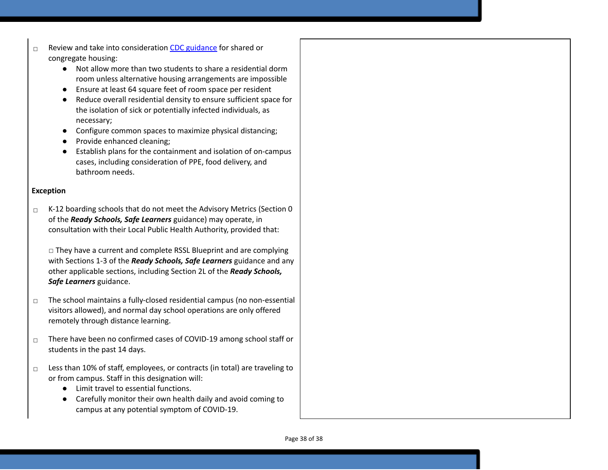- ☐ Review and take into consideration CDC g[uid](https://www.cdc.gov/coronavirus/2019-ncov/communication/toolkits/shared-congregate-housing.html)ance for shared or congregate housing:
	- Not allow more than two students to share a residential dorm room unless alternative housing arrangements are impossible
	- Ensure at least 64 square feet of room space per resident
	- $\bullet$ Reduce overall residential density to ensure sufficient space for the isolation of sick or potentially infected individuals, as necessary;
	- Configure common spaces to maximize physical distancing;
	- Provide enhanced cleaning;
	- Establish plans for the containment and isolation of on-campus cases, including consideration of PPE, food delivery, and bathroom needs.

### **Exception**

 $\Box$  K-12 boarding schools that do not meet the Advisory Metrics (Section 0 of the *Ready Schools, Safe Learners* guidance) may operate, in consultation with their Local Public Health Authority, provided that:

□ They have a current and complete RSSL Blueprint and are complying with Sections 1-3 of the *Ready Schools, Safe Learners* guidance and any other applicable sections, including Section 2L of the *Ready Schools,* Safe Learners guidance.

- $\Box$  The school maintains a fully-closed residential campus (no non-essential visitors allowed), and normal day school operations are only offered remotely through distance learning.
- ☐ There have been no confirmed cases of COVID-19 among school staff or students in the past 14 days.
- ☐ Less than 10% of staff, employees, or contracts (in total) are traveling to or from campus. Staff in this designation will:
	- Limit travel to essential functions.
	- Carefully monitor their own health daily and avoid coming to campus at any potential symptom of COVID-19.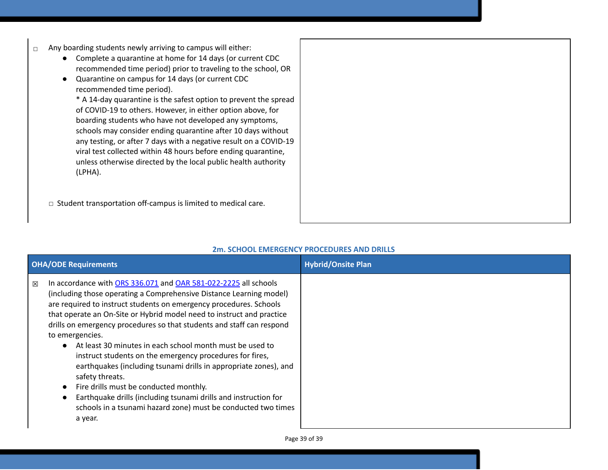- ☐ Any boarding students newly arriving to campus will either:
	- Complete a quarantine at home for 14 days (or current CDC recommended time period) prior to traveling to the school, OR
	- Quarantine on campus for 14 days (or current CDC recommended time period).

\* A 14-day quarantine is the safest option to prevent the spread of COVID-19 to others. However, in either option above, for boarding students who have not developed any symptoms, schools may consider ending quarantine after 10 days without any testing, or after 7 days with a negative result on a COVID-19 viral test collected within 48 hours before ending quarantine, unless otherwise directed by the local public health authority (LPHA).

☐ Student transportation off-campus is limited to medical care.

| 2m. SCHOOL EMERGENCY PROCEDURES AND DRILLS |  |
|--------------------------------------------|--|
|--------------------------------------------|--|

| <b>OHA/ODE Requirements</b>                                                                                                                                                                                                                                                                                                                                                                                                                                                                                                                                                                                                                                                                                                                                                                      | <b>Hybrid/Onsite Plan</b> |
|--------------------------------------------------------------------------------------------------------------------------------------------------------------------------------------------------------------------------------------------------------------------------------------------------------------------------------------------------------------------------------------------------------------------------------------------------------------------------------------------------------------------------------------------------------------------------------------------------------------------------------------------------------------------------------------------------------------------------------------------------------------------------------------------------|---------------------------|
| In accordance with ORS 336.071 and OAR 581-022-2225 all schools<br>図<br>(including those operating a Comprehensive Distance Learning model)<br>are required to instruct students on emergency procedures. Schools<br>that operate an On-Site or Hybrid model need to instruct and practice<br>drills on emergency procedures so that students and staff can respond<br>to emergencies.<br>• At least 30 minutes in each school month must be used to<br>instruct students on the emergency procedures for fires,<br>earthquakes (including tsunami drills in appropriate zones), and<br>safety threats.<br>Fire drills must be conducted monthly.<br>Earthquake drills (including tsunami drills and instruction for<br>schools in a tsunami hazard zone) must be conducted two times<br>a year. |                           |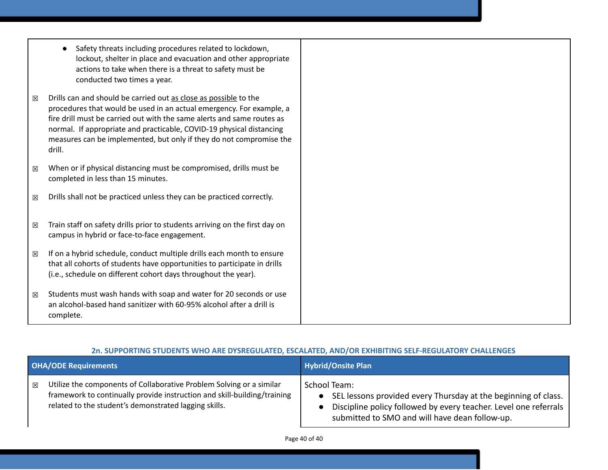- Safety threats including procedures related to lockdown, lockout, shelter in place and evacuation and other appropriate actions to take when there is a threat to safety must be conducted two times a year.
- $\boxtimes$  Drills can and should be carried out as close as possible to the procedures that would be used in an actual emergency. For example, a fire drill must be carried out with the same alerts and same routes as normal. If appropriate and practicable, COVID-19 physical distancing measures can be implemented, but only if they do not compromise the drill.
- $\boxtimes$  When or if physical distancing must be compromised, drills must be completed in less than 15 minutes.
- $\boxtimes$  Drills shall not be practiced unless they can be practiced correctly.
- $\boxtimes$  Train staff on safety drills prior to students arriving on the first day on campus in hybrid or face-to-face engagement.
- $\boxtimes$  If on a hybrid schedule, conduct multiple drills each month to ensure that all cohorts of students have opportunities to participate in drills (i.e., schedule on different cohort days throughout the year).
- $\boxtimes$  Students must wash hands with soap and water for 20 seconds or use an alcohol-based hand sanitizer with 60-95% alcohol after a drill is complete.

### **2n. SUPPORTING STUDENTS WHO ARE DYSREGULATED, ESCALATED, AND/OR EXHIBITING SELF-REGULATORY CHALLENGES**

|   | <b>OHA/ODE Requirements</b>                                                                                                                                                                               | <b>Hybrid/Onsite Plan</b>                                                                                                                                                                                                      |
|---|-----------------------------------------------------------------------------------------------------------------------------------------------------------------------------------------------------------|--------------------------------------------------------------------------------------------------------------------------------------------------------------------------------------------------------------------------------|
| 冈 | Utilize the components of Collaborative Problem Solving or a similar<br>framework to continually provide instruction and skill-building/training<br>related to the student's demonstrated lagging skills. | School Team:<br>SEL lessons provided every Thursday at the beginning of class.<br>$\bullet$<br>Discipline policy followed by every teacher. Level one referrals<br>$\bullet$<br>submitted to SMO and will have dean follow-up. |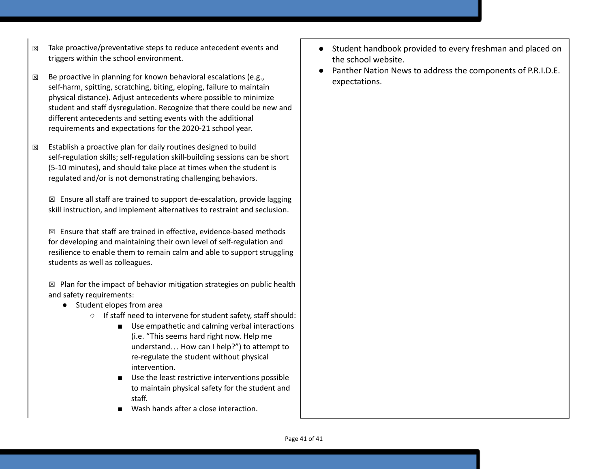- $\boxtimes$  Take proactive/preventative steps to reduce antecedent events and triggers within the school environment.
- $\boxtimes$  Be proactive in planning for known behavioral escalations (e.g.,  $\qquad$  expectations. self-harm, spitting, scratching, biting, eloping, failure to maintain physical distance). Adjust antecedents where possible to minimize student and staff dysregulation. Recognize that there could be new and different antecedents and setting events with the additional requirements and expectations for the 2020-21 school year.
- $\boxtimes$  Establish a proactive plan for daily routines designed to build self-regulation skills; self-regulation skill-building sessions can be short (5-10 minutes), and should take place at times when the student is regulated and/or is not demonstrating challenging behaviors.

 $\boxtimes$  Ensure all staff are trained to support de-escalation, provide lagging skill instruction, and implement alternatives to restraint and seclusion.

 $\boxtimes$  Ensure that staff are trained in effective, evidence-based methods for developing and maintaining their own level of self-regulation and resilience to enable them to remain calm and able to support struggling students as well as colleagues.

 $\boxtimes$  Plan for the impact of behavior mitigation strategies on public health and safety requirements:

- Student elopes from area
	- If staff need to intervene for student safety, staff should:
		- Use empathetic and calming verbal interactions (i.e. "This seems hard right now. Help me understand… How can I help?") to attempt to re-regulate the student without physical intervention.
		- Use the least restrictive interventions possible to maintain physical safety for the student and staff.
		- Wash hands after a close interaction.
- Student handbook provided to every freshman and placed on the school website.
- Panther Nation News to address the components of P.R.I.D.E.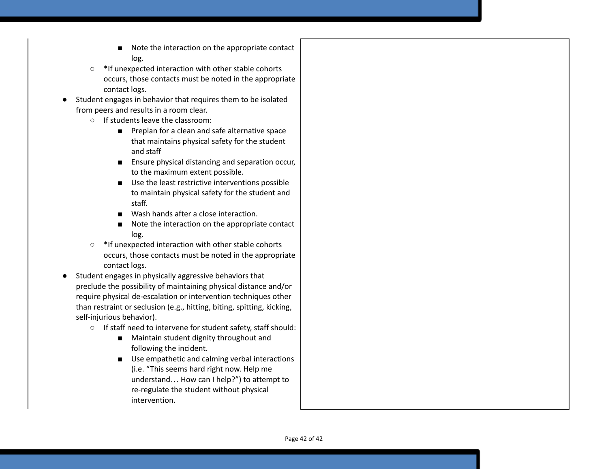- Note the interaction on the appropriate contact log.
- \*If unexpected interaction with other stable cohorts occurs, those contacts must be noted in the appropriate contact logs.
- Student engages in behavior that requires them to be isolated from peers and results in a room clear.
	- If students leave the classroom:
		- Preplan for a clean and safe alternative space that maintains physical safety for the student and staff
		- Ensure physical distancing and separation occur, to the maximum extent possible.
		- Use the least restrictive interventions possible to maintain physical safety for the student and staff.
		- Wash hands after a close interaction.
		- Note the interaction on the appropriate contact log.
	- \*If unexpected interaction with other stable cohorts occurs, those contacts must be noted in the appropriate contact logs.
- Student engages in physically aggressive behaviors that preclude the possibility of maintaining physical distance and/or require physical de-escalation or intervention techniques other than restraint or seclusion (e.g., hitting, biting, spitting, kicking, self-injurious behavior).
	- If staff need to intervene for student safety, staff should:
		- Maintain student dignity throughout and following the incident.
		- Use empathetic and calming verbal interactions (i.e. "This seems hard right now. Help me understand… How can I help?") to attempt to re-regulate the student without physical intervention.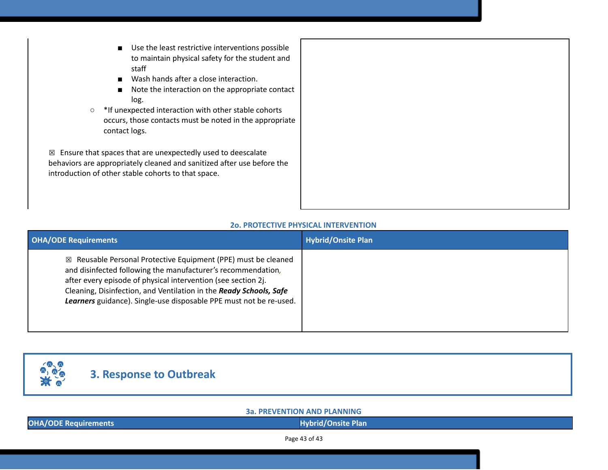- Use the least restrictive interventions possible to maintain physical safety for the student and staff
- Wash hands after a close interaction.
- Note the interaction on the appropriate contact log.
- \*If unexpected interaction with other stable cohorts occurs, those contacts must be noted in the appropriate contact logs.

 $\boxtimes$  Ensure that spaces that are unexpectedly used to deescalate behaviors are appropriately cleaned and sanitized after use before the introduction of other stable cohorts to that space.

### **2o. PROTECTIVE PHYSICAL INTERVENTION**

| <b>OHA/ODE Requirements</b>                                                                                                                                                                                                                                                                                                                           | <b>Hybrid/Onsite Plan</b> |
|-------------------------------------------------------------------------------------------------------------------------------------------------------------------------------------------------------------------------------------------------------------------------------------------------------------------------------------------------------|---------------------------|
| $\boxtimes$ Reusable Personal Protective Equipment (PPE) must be cleaned<br>and disinfected following the manufacturer's recommendation,<br>after every episode of physical intervention (see section 2j.<br>Cleaning, Disinfection, and Ventilation in the Ready Schools, Safe<br>Learners guidance). Single-use disposable PPE must not be re-used. |                           |



**3a. PREVENTION AND PLANNING**

**OHA/ODE** Requirements **All the Community Community Community Community Community Community Community Community Community Community Community Community Community Community Community Community Community Community Community** 

Page 43 of 43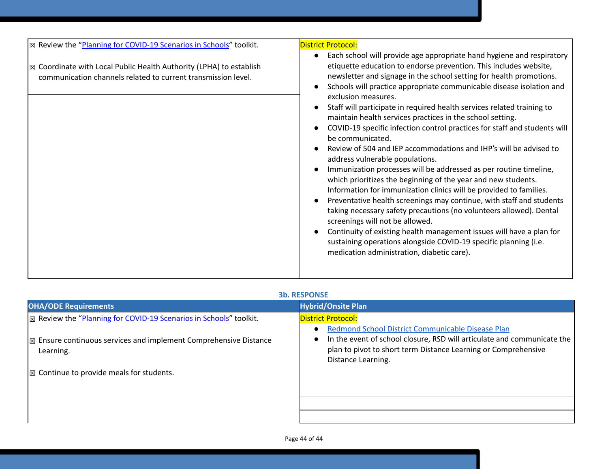| ⊠ Review the "Planning for COVID-19 Scenarios in Schools" toolkit.                                                                             | <b>District Protocol:</b>                                                                                                                                                                                                                                                                                                                                                                                                                                                                                                                                                                                                                                                                                                                                                                                                                                                                                                                                                                                                                                                                                                                                                                                                                                |
|------------------------------------------------------------------------------------------------------------------------------------------------|----------------------------------------------------------------------------------------------------------------------------------------------------------------------------------------------------------------------------------------------------------------------------------------------------------------------------------------------------------------------------------------------------------------------------------------------------------------------------------------------------------------------------------------------------------------------------------------------------------------------------------------------------------------------------------------------------------------------------------------------------------------------------------------------------------------------------------------------------------------------------------------------------------------------------------------------------------------------------------------------------------------------------------------------------------------------------------------------------------------------------------------------------------------------------------------------------------------------------------------------------------|
| $\boxtimes$ Coordinate with Local Public Health Authority (LPHA) to establish<br>communication channels related to current transmission level. | Each school will provide age appropriate hand hygiene and respiratory<br>etiquette education to endorse prevention. This includes website,<br>newsletter and signage in the school setting for health promotions.<br>Schools will practice appropriate communicable disease isolation and<br>exclusion measures.<br>Staff will participate in required health services related training to<br>maintain health services practices in the school setting.<br>COVID-19 specific infection control practices for staff and students will<br>be communicated.<br>Review of 504 and IEP accommodations and IHP's will be advised to<br>address vulnerable populations.<br>Immunization processes will be addressed as per routine timeline,<br>which prioritizes the beginning of the year and new students.<br>Information for immunization clinics will be provided to families.<br>Preventative health screenings may continue, with staff and students<br>taking necessary safety precautions (no volunteers allowed). Dental<br>screenings will not be allowed.<br>Continuity of existing health management issues will have a plan for<br>sustaining operations alongside COVID-19 specific planning (i.e.<br>medication administration, diabetic care). |
|                                                                                                                                                |                                                                                                                                                                                                                                                                                                                                                                                                                                                                                                                                                                                                                                                                                                                                                                                                                                                                                                                                                                                                                                                                                                                                                                                                                                                          |

### **3b. RESPONSE**

| <b>OHA/ODE Requirements</b>                                                               | <b>Hybrid/Onsite Plan</b>                                                                                                                                                                                            |
|-------------------------------------------------------------------------------------------|----------------------------------------------------------------------------------------------------------------------------------------------------------------------------------------------------------------------|
| $\sqrt{\mathbb{Z}}$ Review the "Planning for COVID-19 Scenarios in Schools" toolkit.      | <b>District Protocol:</b>                                                                                                                                                                                            |
| $\mathbb{R}$ Ensure continuous services and implement Comprehensive Distance<br>Learning. | Redmond School District Communicable Disease Plan<br>In the event of school closure, RSD will articulate and communicate the<br>plan to pivot to short term Distance Learning or Comprehensive<br>Distance Learning. |
| $\mathbb{R}$ Continue to provide meals for students.                                      |                                                                                                                                                                                                                      |
|                                                                                           |                                                                                                                                                                                                                      |
|                                                                                           |                                                                                                                                                                                                                      |
|                                                                                           |                                                                                                                                                                                                                      |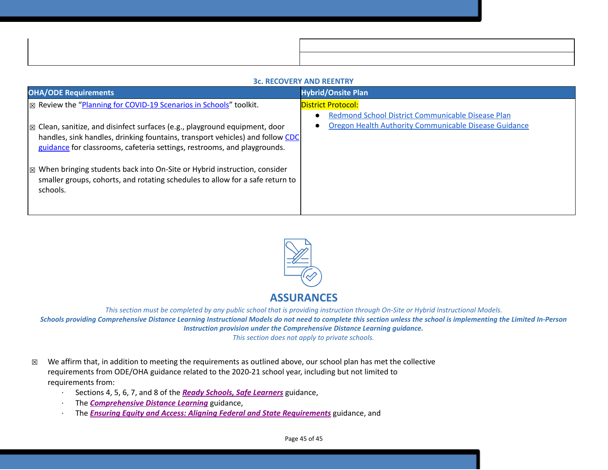### **3c. RECOVERY AND REENTRY**

| <b>OHA/ODE Requirements</b>                                                                                                                                                                                                                        | <b>Hybrid/Onsite Plan</b>                                                                                  |
|----------------------------------------------------------------------------------------------------------------------------------------------------------------------------------------------------------------------------------------------------|------------------------------------------------------------------------------------------------------------|
| <b>EX</b> Review the "Planning for COVID-19 Scenarios in Schools" toolkit.                                                                                                                                                                         | <b>District Protocol:</b>                                                                                  |
| $\boxtimes$ Clean, sanitize, and disinfect surfaces (e.g., playground equipment, door<br>handles, sink handles, drinking fountains, transport vehicles) and follow CDC<br>guidance for classrooms, cafeteria settings, restrooms, and playgrounds. | Redmond School District Communicable Disease Plan<br>Oregon Health Authority Communicable Disease Guidance |
| $\mathbb{Z}$ When bringing students back into On-Site or Hybrid instruction, consider<br>smaller groups, cohorts, and rotating schedules to allow for a safe return to<br>schools.                                                                 |                                                                                                            |



### **ASSURANCES**

This section must be completed by any public school that is providing instruction through On-Site or Hybrid Instructional Models. Schools providing Comprehensive Distance Learning Instructional Models do not need to complete this section unless the school is implementing the Limited In-Person *Instruction provision under the Comprehensive Distance Learning guidance.*

*This section does not apply to private schools.*

- $\boxtimes$  We affirm that, in addition to meeting the requirements as outlined above, our school plan has met the collective requirements from ODE/OHA guidance related to the 2020-21 school year, including but not limited to requirements from:
	- · Sections 4, 5, 6, 7, and 8 of the *[R](https://www.oregon.gov/ode/students-and-family/healthsafety/Documents/Ready%20Schools%20Safe%20Learners%202020-21%20Guidance.pdf)eady Schools, Safe [Learners](https://www.oregon.gov/ode/students-and-family/healthsafety/Documents/Ready%20Schools%20Safe%20Learners%202020-21%20Guidance.pdf)* guidance,
	- · The *[Comprehensive](https://www.oregon.gov/ode/educator-resources/standards/Pages/Comprehensive-Distance-Learning.aspx) Distance Learning* guidance,
	- · The *Ensuring Equity and Access: Aligning Federal and State [Requirements](https://www.oregon.gov/ode/students-and-family/healthsafety/Documents/Ensuring%20Equity%20and%20Access%20Aligning%20State%20and%20Federal%20Requirements.pdf)* guidance, and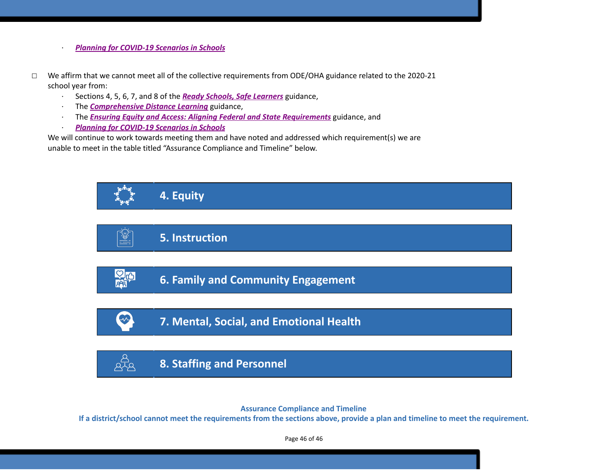- · *Planning for [COVID-19](https://www.oregon.gov/ode/students-and-family/healthsafety/Documents/Planning%20and%20Responding%20to%20COVID-19%20Scenarios%20in%20Schools%20August%202020.pdf) Scenarios in Schools*
- ☐ We affirm that we cannot meet all of the collective requirements from ODE/OHA guidance related to the 2020-21 school year from:
	- · Sections 4, 5, 6, 7, and 8 of the *[R](https://www.oregon.gov/ode/students-and-family/healthsafety/Documents/Ready%20Schools%20Safe%20Learners%202020-21%20Guidance.pdf)eady Schools, Safe [Learners](https://www.oregon.gov/ode/students-and-family/healthsafety/Documents/Ready%20Schools%20Safe%20Learners%202020-21%20Guidance.pdf)* guidance,
	- · The *[Comprehensive](https://www.oregon.gov/ode/educator-resources/standards/Pages/Comprehensive-Distance-Learning.aspx) Distance Learning* guidance,
	- · The *Ensuring Equity and Access: Aligning Federal and State [Requirements](https://www.oregon.gov/ode/students-and-family/healthsafety/Documents/Ensuring%20Equity%20and%20Access%20Aligning%20State%20and%20Federal%20Requirements.pdf)* guidance, and
	- · *Planning for [COVID-19](https://www.oregon.gov/ode/students-and-family/healthsafety/Documents/Planning%20and%20Responding%20to%20COVID-19%20Scenarios%20in%20Schools%20August%202020.pdf) Scenarios in Schools*

We will continue to work towards meeting them and have noted and addressed which requirement(s) we are unable to meet in the table titled "Assurance Compliance and Timeline" below.



**Assurance Compliance and Timeline**

If a district/school cannot meet the requirements from the sections above, provide a plan and timeline to meet the requirement.

Page 46 of 46